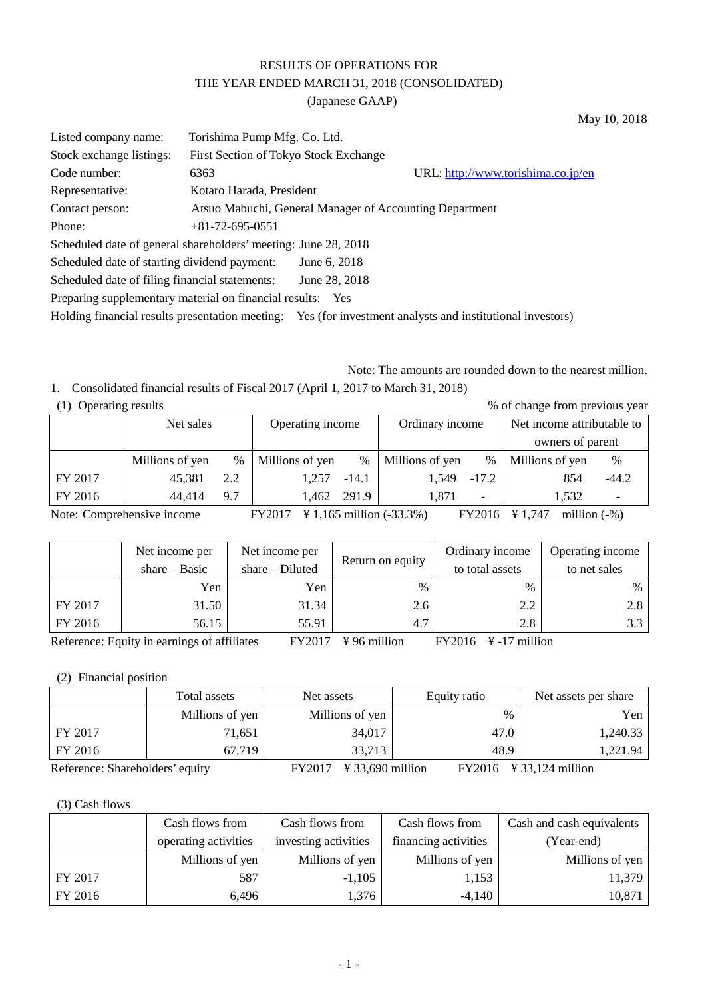# RESULTS OF OPERATIONS FOR THE YEAR ENDED MARCH 31, 2018 (CONSOLIDATED)

(Japanese GAAP)

| Listed company name:                                           | Torishima Pump Mfg. Co. Ltd.          |                                                         |                                                           |  |  |  |  |
|----------------------------------------------------------------|---------------------------------------|---------------------------------------------------------|-----------------------------------------------------------|--|--|--|--|
| Stock exchange listings:                                       | First Section of Tokyo Stock Exchange |                                                         |                                                           |  |  |  |  |
| Code number:                                                   | 6363                                  |                                                         | URL: http://www.torishima.co.jp/en                        |  |  |  |  |
| Representative:                                                | Kotaro Harada, President              |                                                         |                                                           |  |  |  |  |
| Contact person:                                                |                                       | Atsuo Mabuchi, General Manager of Accounting Department |                                                           |  |  |  |  |
| Phone:                                                         | $+81 - 72 - 695 - 0551$               |                                                         |                                                           |  |  |  |  |
| Scheduled date of general shareholders' meeting: June 28, 2018 |                                       |                                                         |                                                           |  |  |  |  |
| Scheduled date of starting dividend payment:                   |                                       | June 6, 2018                                            |                                                           |  |  |  |  |
| Scheduled date of filing financial statements:                 |                                       | June 28, 2018                                           |                                                           |  |  |  |  |
| Preparing supplementary material on financial results: Yes     |                                       |                                                         |                                                           |  |  |  |  |
| Holding financial results presentation meeting:                |                                       |                                                         | Yes (for investment analysts and institutional investors) |  |  |  |  |

Note: The amounts are rounded down to the nearest million. 1. Consolidated financial results of Fiscal 2017 (April 1, 2017 to March 31, 2018)

May 10, 2018

| $(1)$ Operating results |  |
|-------------------------|--|

| (1) Operating results | % of change from previous year |      |                  |         |                 |         |                            |               |  |
|-----------------------|--------------------------------|------|------------------|---------|-----------------|---------|----------------------------|---------------|--|
|                       | Net sales                      |      | Operating income |         | Ordinary income |         | Net income attributable to |               |  |
|                       |                                |      |                  |         |                 |         | owners of parent           |               |  |
|                       | Millions of yen                | $\%$ | Millions of yen  | $\%$    | Millions of yen | $\%$    | Millions of yen            | $\frac{0}{0}$ |  |
| FY 2017               | 45.381                         | 2.2  | 1.257            | $-14.1$ | 1.549           | $-17.2$ | 854                        | $-44.2$       |  |
| FY 2016               | 44.414                         | 9.7  | 1.462            | 291.9   | 1.871           | ۰       | 1.532                      |               |  |

Note: Comprehensive income FY2017 ¥ 1,165 million (-33.3%) FY2016 ¥ 1,747 million (-%)

|         | Net income per<br>share $-$ Basic | Net income per<br>$share-Diluted$ | Return on equity | Ordinary income<br>to total assets | Operating income<br>to net sales |
|---------|-----------------------------------|-----------------------------------|------------------|------------------------------------|----------------------------------|
|         | Yen                               | Yen                               | %                | $\%$                               | $\%$                             |
| FY 2017 | 31.50                             | 31.34                             | 2.6              | 2.2                                | 2.8                              |
| FY 2016 | 56.15                             | 55.91                             | 4.7              | 2.8                                | 3.3                              |

Reference: Equity in earnings of affiliates FY2017 \frac{4}30\$ FY2016 \text{FY2016} \text{FY2016}\$ -17 million

(2) Financial position

|                                 | Total assets    | Net assets                     | Equity ratio | Net assets per share                     |
|---------------------------------|-----------------|--------------------------------|--------------|------------------------------------------|
|                                 | Millions of yen | Millions of yen                | $\%$         | Yen                                      |
| FY 2017                         | 71,651          | 34,017                         | 47.0         | 1,240.33                                 |
| FY 2016                         | 67,719          | 33,713                         | 48.9         | 1,221.94                                 |
| Reference: Shareholders' equity |                 | $FY2017 \t\yen 33,690$ million |              | $FY2016 \t\frac{1}{2}33,124 \t{million}$ |

(3) Cash flows

|         | Cash flows from      | Cash flows from      | Cash flows from      | Cash and cash equivalents |
|---------|----------------------|----------------------|----------------------|---------------------------|
|         | operating activities | investing activities | financing activities | (Year-end)                |
|         | Millions of yen      | Millions of yen      | Millions of yen      | Millions of yen           |
| FY 2017 | 587                  | $-1,105$             | 1,153                | 11,379                    |
| FY 2016 | 6,496                | 1,376                | $-4,140$             | 10,871                    |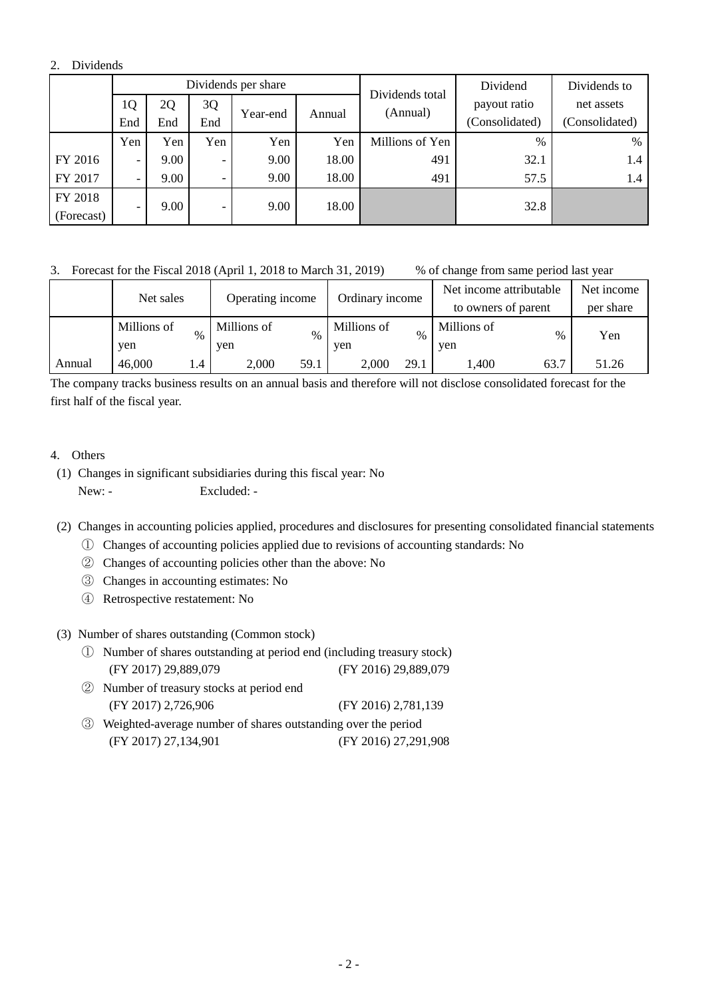## 2. Dividends

|            |                          |      |                          | Dividends per share |        | Dividends total | Dividend       | Dividends to   |              |            |
|------------|--------------------------|------|--------------------------|---------------------|--------|-----------------|----------------|----------------|--------------|------------|
|            | 1Q                       | 2Q   | 3Q                       |                     |        |                 |                | (Annual)       | payout ratio | net assets |
|            | End                      | End  | End                      | Year-end            | Annual |                 | (Consolidated) | (Consolidated) |              |            |
|            | Yen                      | Yen  | Yen                      | Yen                 | Yen    | Millions of Yen | $\%$           | %              |              |            |
| FY 2016    | $\overline{\phantom{0}}$ | 9.00 | $\overline{\phantom{0}}$ | 9.00                | 18.00  | 491             | 32.1           | 1.4            |              |            |
| FY 2017    |                          | 9.00 |                          | 9.00                | 18.00  | 491             | 57.5           | 1.4            |              |            |
| FY 2018    |                          | 9.00 | $\overline{\phantom{0}}$ | 9.00                | 18.00  |                 | 32.8           |                |              |            |
| (Forecast) |                          |      |                          |                     |        |                 |                |                |              |            |

## 3. Forecast for the Fiscal 2018 (April 1, 2018 to March 31, 2019) % of change from same period last year

|        | Net sales          |      | Operating income   |      | Ordinary income    |      | Net income attributable<br>to owners of parent |      | Net income<br>per share |
|--------|--------------------|------|--------------------|------|--------------------|------|------------------------------------------------|------|-------------------------|
|        | Millions of<br>yen | $\%$ | Millions of<br>yen | $\%$ | Millions of<br>ven | $\%$ | Millions of<br>ven                             | $\%$ | Yen                     |
| Annual | 46,000             | . 4  | 59.1<br>2,000      |      | 2.000              | 29.1 | ,400<br>63.7                                   |      | 51.26                   |

The company tracks business results on an annual basis and therefore will not disclose consolidated forecast for the first half of the fiscal year.

## 4. Others

- (1) Changes in significant subsidiaries during this fiscal year: No New: - Excluded: -
- (2) Changes in accounting policies applied, procedures and disclosures for presenting consolidated financial statements
	- ① Changes of accounting policies applied due to revisions of accounting standards: No
	- ② Changes of accounting policies other than the above: No
	- ③ Changes in accounting estimates: No
	- ④ Retrospective restatement: No

#### (3) Number of shares outstanding (Common stock)

- ① Number of shares outstanding at period end (including treasury stock) (FY 2017) 29,889,079 (FY 2016) 29,889,079
- ② Number of treasury stocks at period end (FY 2017) 2,726,906 (FY 2016) 2,781,139
- ③ Weighted-average number of shares outstanding over the period (FY 2017) 27,134,901 (FY 2016) 27,291,908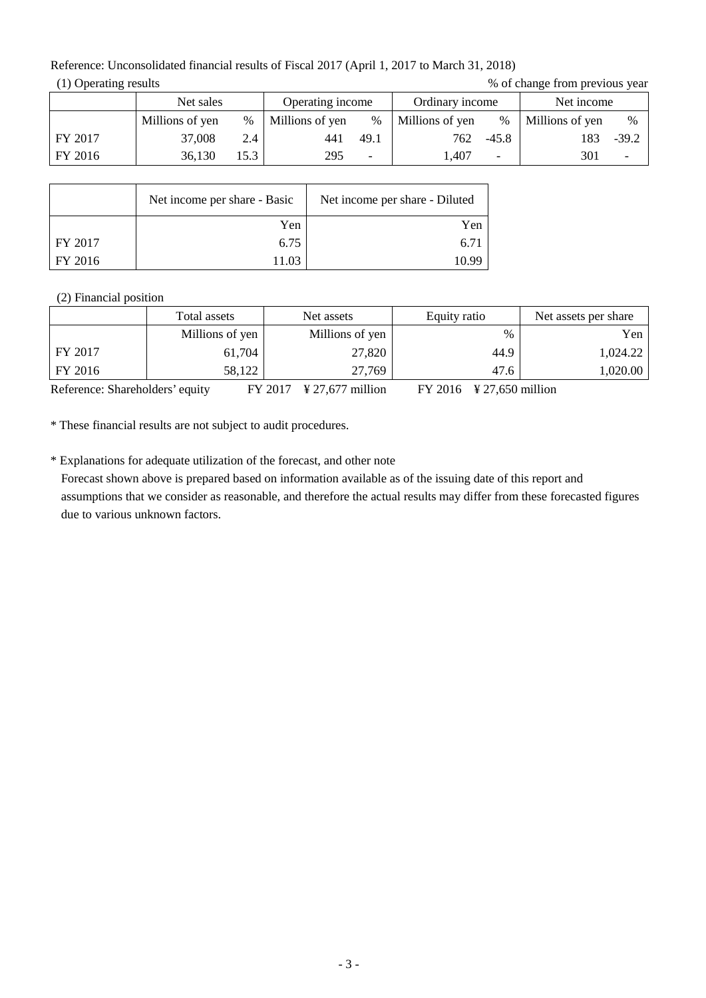Reference: Unconsolidated financial results of Fiscal 2017 (April 1, 2017 to March 31, 2018) (1) Operating results  $\%$  of change from previous year

|         | Net sales       |      | Operating income |      | Ordinary income |         | Net income      |         |
|---------|-----------------|------|------------------|------|-----------------|---------|-----------------|---------|
|         | Millions of yen | $\%$ | Millions of yen  | $\%$ | Millions of yen | $\%$    | Millions of yen | $\%$    |
| FY 2017 | 37,008          | 2.4  | 441              | 49.1 | 762             | $-45.8$ | 183             | $-39.2$ |
| FY 2016 | 36,130          | 15.3 | 295              |      | l.407           |         | 301             |         |

|         | Net income per share - Basic | Net income per share - Diluted |
|---------|------------------------------|--------------------------------|
|         | Yen                          | Yen                            |
| FY 2017 | 6.75                         | $6.7^{\circ}$                  |
| FY 2016 | 11 03                        | 10 99                          |

#### (2) Financial position

|         | Total assets    | Net assets<br>Equity ratio |      | Net assets per share |
|---------|-----------------|----------------------------|------|----------------------|
|         | Millions of yen | Millions of yen            | $\%$ | Yen                  |
| FY 2017 | 61,704          | 27,820                     | 44.9 | 1,024.22             |
| FY 2016 | 58,122          | 27,769                     | 47.6 | 1,020.00             |

Reference: Shareholders' equity FY 2017 \frac{27,677 million FY 2016 \frac{27,650 million

\* These financial results are not subject to audit procedures.

\* Explanations for adequate utilization of the forecast, and other note Forecast shown above is prepared based on information available as of the issuing date of this report and assumptions that we consider as reasonable, and therefore the actual results may differ from these forecasted figures due to various unknown factors.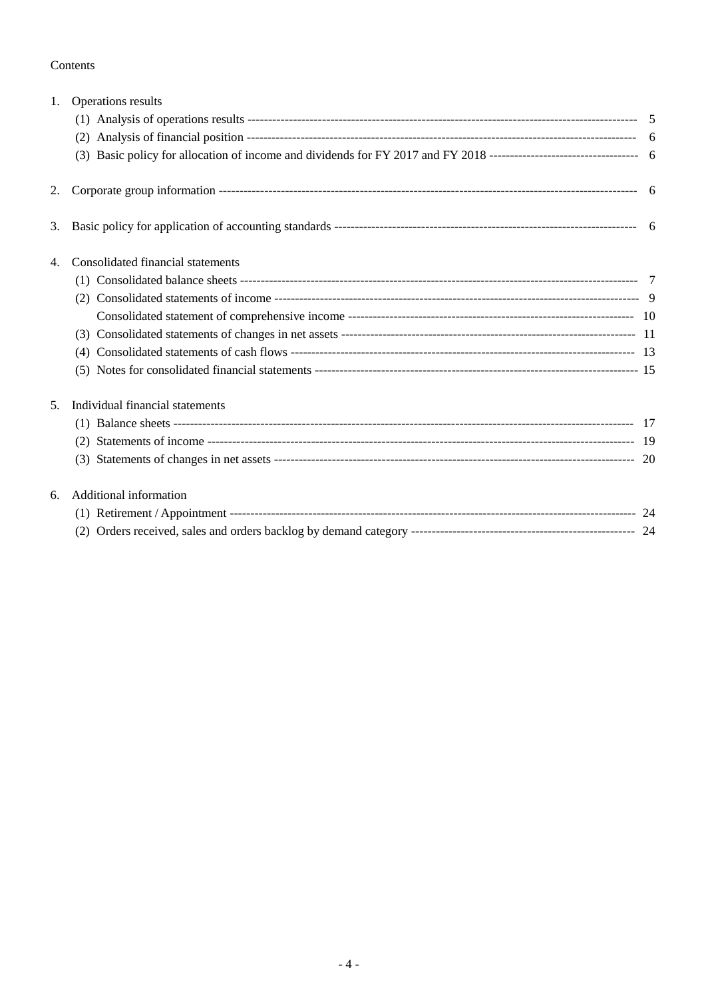## Contents

| 1. | Operations results                |  |  |  |  |  |  |  |
|----|-----------------------------------|--|--|--|--|--|--|--|
|    |                                   |  |  |  |  |  |  |  |
|    |                                   |  |  |  |  |  |  |  |
|    |                                   |  |  |  |  |  |  |  |
| 2. |                                   |  |  |  |  |  |  |  |
| 3. |                                   |  |  |  |  |  |  |  |
| 4. | Consolidated financial statements |  |  |  |  |  |  |  |
|    |                                   |  |  |  |  |  |  |  |
|    | (2)                               |  |  |  |  |  |  |  |
|    |                                   |  |  |  |  |  |  |  |
|    |                                   |  |  |  |  |  |  |  |
|    | (4)                               |  |  |  |  |  |  |  |
|    |                                   |  |  |  |  |  |  |  |
| 5. | Individual financial statements   |  |  |  |  |  |  |  |
|    |                                   |  |  |  |  |  |  |  |
|    | (2)                               |  |  |  |  |  |  |  |
|    |                                   |  |  |  |  |  |  |  |
| 6. | <b>Additional information</b>     |  |  |  |  |  |  |  |
|    |                                   |  |  |  |  |  |  |  |
|    |                                   |  |  |  |  |  |  |  |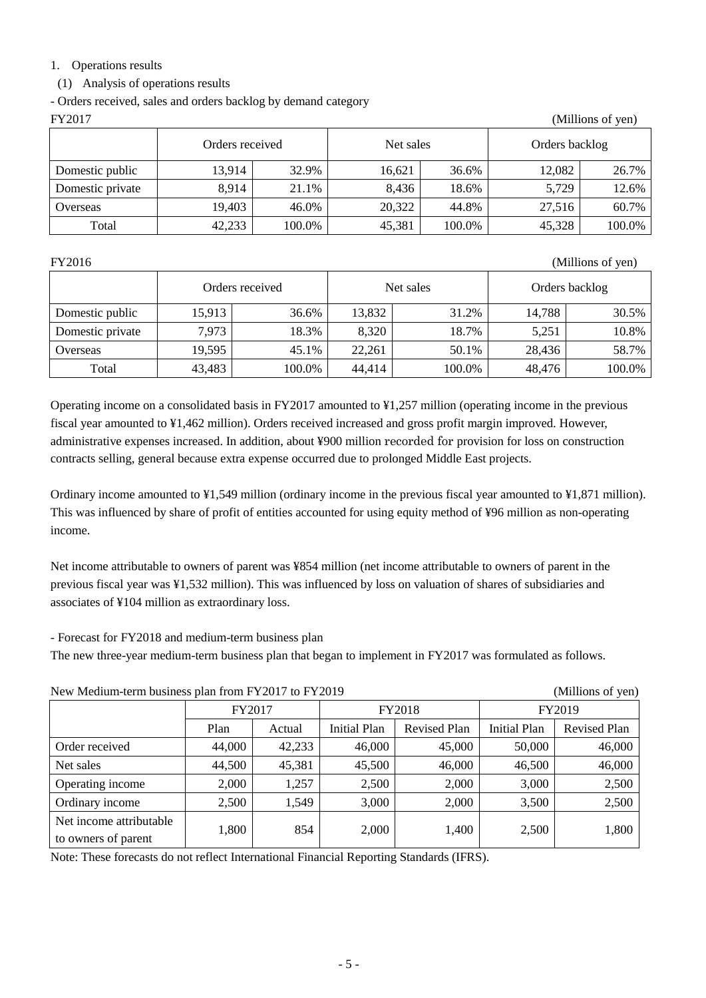# 1. Operations results

# (1) Analysis of operations results

- Orders received, sales and orders backlog by demand category

| FY2017<br>(Millions of yen) |                 |        |           |        |                |        |  |
|-----------------------------|-----------------|--------|-----------|--------|----------------|--------|--|
|                             | Orders received |        | Net sales |        | Orders backlog |        |  |
| Domestic public             | 13,914          | 32.9%  | 16,621    | 36.6%  | 12,082         | 26.7%  |  |
| Domestic private            | 8,914           | 21.1%  | 8,436     | 18.6%  | 5,729          | 12.6%  |  |
| Overseas                    | 19,403          | 46.0%  | 20,322    | 44.8%  | 27.516         | 60.7%  |  |
| Total                       | 42,233          | 100.0% | 45,381    | 100.0% | 45,328         | 100.0% |  |

FY2016 (Millions of yen)

|                  | Orders received |        |        | Net sales | Orders backlog |        |  |
|------------------|-----------------|--------|--------|-----------|----------------|--------|--|
| Domestic public  | 15,913          | 36.6%  | 13,832 | 31.2%     | 14,788         | 30.5%  |  |
| Domestic private | 7,973           | 18.3%  | 8,320  | 18.7%     | 5.251          | 10.8%  |  |
| Overseas         | 19,595          | 45.1%  | 22,261 | 50.1%     | 28,436         | 58.7%  |  |
| Total            | 43,483          | 100.0% | 44,414 | 100.0%    | 48,476         | 100.0% |  |

Operating income on a consolidated basis in FY2017 amounted to ¥1,257 million (operating income in the previous fiscal year amounted to ¥1,462 million). Orders received increased and gross profit margin improved. However, administrative expenses increased. In addition, about ¥900 million recorded for provision for loss on construction contracts selling, general because extra expense occurred due to prolonged Middle East projects.

Ordinary income amounted to ¥1,549 million (ordinary income in the previous fiscal year amounted to ¥1,871 million). This was influenced by share of profit of entities accounted for using equity method of ¥96 million as non-operating income.

Net income attributable to owners of parent was ¥854 million (net income attributable to owners of parent in the previous fiscal year was ¥1,532 million). This was influenced by loss on valuation of shares of subsidiaries and associates of ¥104 million as extraordinary loss.

- Forecast for FY2018 and medium-term business plan

The new three-year medium-term business plan that began to implement in FY2017 was formulated as follows.

| New Medium-term business plan from FY2017 to FY2019<br>(Millions of yen) |        |        |                     |                     |                     |                     |  |
|--------------------------------------------------------------------------|--------|--------|---------------------|---------------------|---------------------|---------------------|--|
|                                                                          | FY2017 |        |                     | FY2018              | FY2019              |                     |  |
|                                                                          | Plan   | Actual | <b>Initial Plan</b> | <b>Revised Plan</b> | <b>Initial Plan</b> | <b>Revised Plan</b> |  |
| Order received                                                           | 44,000 | 42,233 | 46,000              | 45,000              | 50,000              | 46,000              |  |
| Net sales                                                                | 44,500 | 45,381 | 45,500              | 46,000              | 46,500              | 46,000              |  |
| Operating income                                                         | 2,000  | 1,257  | 2,500               | 2,000               | 3,000               | 2,500               |  |
| Ordinary income                                                          | 2,500  | 1,549  | 3,000               | 2,000               | 3,500               | 2,500               |  |
| Net income attributable<br>to owners of parent                           | 1,800  | 854    | 2,000               | 1,400               | 2,500               | 1,800               |  |

Note: These forecasts do not reflect International Financial Reporting Standards (IFRS).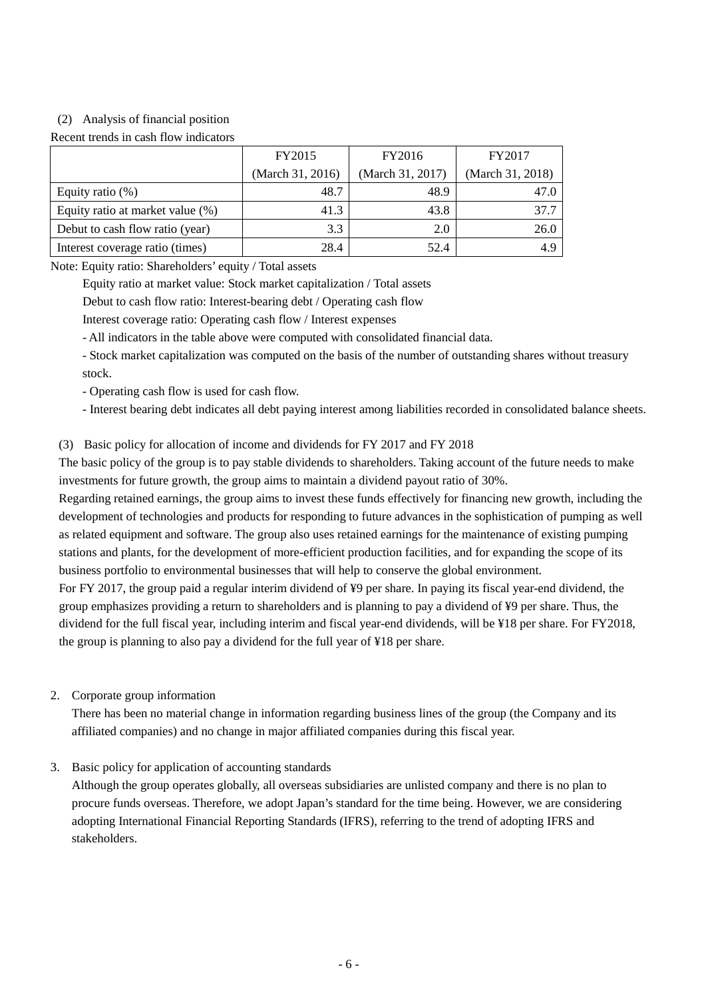## (2) Analysis of financial position

#### Recent trends in cash flow indicators

|                                  | <b>FY2015</b>    | FY2016           | FY2017           |  |
|----------------------------------|------------------|------------------|------------------|--|
|                                  | (March 31, 2016) | (March 31, 2017) | (March 31, 2018) |  |
| Equity ratio $(\%)$              | 48.7             | 48.9             |                  |  |
| Equity ratio at market value (%) | 41.3             | 43.8             | 37.7             |  |
| Debut to cash flow ratio (year)  | 3.3              | 2.0              | 26.0             |  |
| Interest coverage ratio (times)  | 28.4             | 52.4             | 4.9              |  |

Note: Equity ratio: Shareholders' equity / Total assets

Equity ratio at market value: Stock market capitalization / Total assets

Debut to cash flow ratio: Interest-bearing debt / Operating cash flow

Interest coverage ratio: Operating cash flow / Interest expenses

- All indicators in the table above were computed with consolidated financial data.

- Stock market capitalization was computed on the basis of the number of outstanding shares without treasury stock.

- Operating cash flow is used for cash flow.

- Interest bearing debt indicates all debt paying interest among liabilities recorded in consolidated balance sheets.

#### (3) Basic policy for allocation of income and dividends for FY 2017 and FY 2018

The basic policy of the group is to pay stable dividends to shareholders. Taking account of the future needs to make investments for future growth, the group aims to maintain a dividend payout ratio of 30%.

Regarding retained earnings, the group aims to invest these funds effectively for financing new growth, including the development of technologies and products for responding to future advances in the sophistication of pumping as well as related equipment and software. The group also uses retained earnings for the maintenance of existing pumping stations and plants, for the development of more-efficient production facilities, and for expanding the scope of its business portfolio to environmental businesses that will help to conserve the global environment.

For FY 2017, the group paid a regular interim dividend of ¥9 per share. In paying its fiscal year-end dividend, the group emphasizes providing a return to shareholders and is planning to pay a dividend of ¥9 per share. Thus, the dividend for the full fiscal year, including interim and fiscal year-end dividends, will be ¥18 per share. For FY2018, the group is planning to also pay a dividend for the full year of ¥18 per share.

#### 2. Corporate group information

There has been no material change in information regarding business lines of the group (the Company and its affiliated companies) and no change in major affiliated companies during this fiscal year.

3. Basic policy for application of accounting standards

Although the group operates globally, all overseas subsidiaries are unlisted company and there is no plan to procure funds overseas. Therefore, we adopt Japan's standard for the time being. However, we are considering adopting International Financial Reporting Standards (IFRS), referring to the trend of adopting IFRS and stakeholders.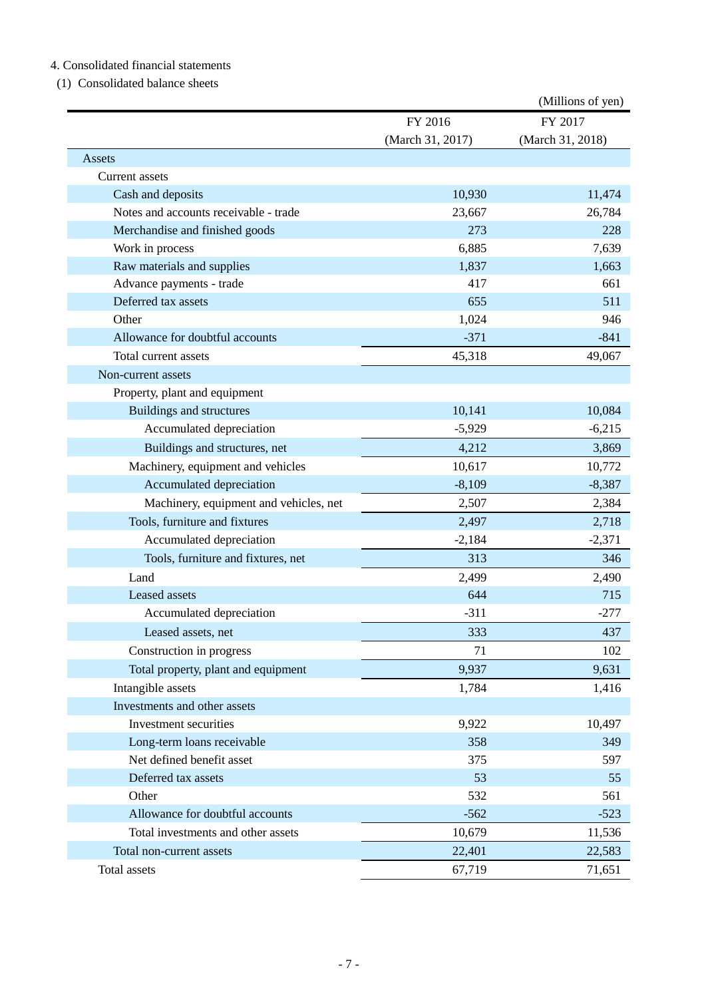# 4. Consolidated financial statements

# (1) Consolidated balance sheets

|                                        |                  | (Millions of yen) |
|----------------------------------------|------------------|-------------------|
|                                        | FY 2016          | FY 2017           |
|                                        | (March 31, 2017) | (March 31, 2018)  |
| Assets                                 |                  |                   |
| Current assets                         |                  |                   |
| Cash and deposits                      | 10,930           | 11,474            |
| Notes and accounts receivable - trade  | 23,667           | 26,784            |
| Merchandise and finished goods         | 273              | 228               |
| Work in process                        | 6,885            | 7,639             |
| Raw materials and supplies             | 1,837            | 1,663             |
| Advance payments - trade               | 417              | 661               |
| Deferred tax assets                    | 655              | 511               |
| Other                                  | 1,024            | 946               |
| Allowance for doubtful accounts        | $-371$           | $-841$            |
| Total current assets                   | 45,318           | 49,067            |
| Non-current assets                     |                  |                   |
| Property, plant and equipment          |                  |                   |
| <b>Buildings and structures</b>        | 10,141           | 10,084            |
| Accumulated depreciation               | $-5,929$         | $-6,215$          |
| Buildings and structures, net          | 4,212            | 3,869             |
| Machinery, equipment and vehicles      | 10,617           | 10,772            |
| Accumulated depreciation               | $-8,109$         | $-8,387$          |
| Machinery, equipment and vehicles, net | 2,507            | 2,384             |
| Tools, furniture and fixtures          | 2,497            | 2,718             |
| Accumulated depreciation               | $-2,184$         | $-2,371$          |
| Tools, furniture and fixtures, net     | 313              | 346               |
| Land                                   | 2,499            | 2,490             |
| Leased assets                          | 644              | 715               |
| Accumulated depreciation               | $-311$           | $-277$            |
| Leased assets, net                     | 333              | 437               |
| Construction in progress               | 71               | 102               |
| Total property, plant and equipment    | 9,937            | 9,631             |
| Intangible assets                      | 1,784            | 1,416             |
| Investments and other assets           |                  |                   |
| Investment securities                  | 9,922            | 10,497            |
| Long-term loans receivable             | 358              | 349               |
| Net defined benefit asset              | 375              | 597               |
| Deferred tax assets                    | 53               | 55                |
| Other                                  | 532              | 561               |
| Allowance for doubtful accounts        | $-562$           | $-523$            |
| Total investments and other assets     | 10,679           | 11,536            |
| Total non-current assets               | 22,401           | 22,583            |
| Total assets                           | 67,719           | 71,651            |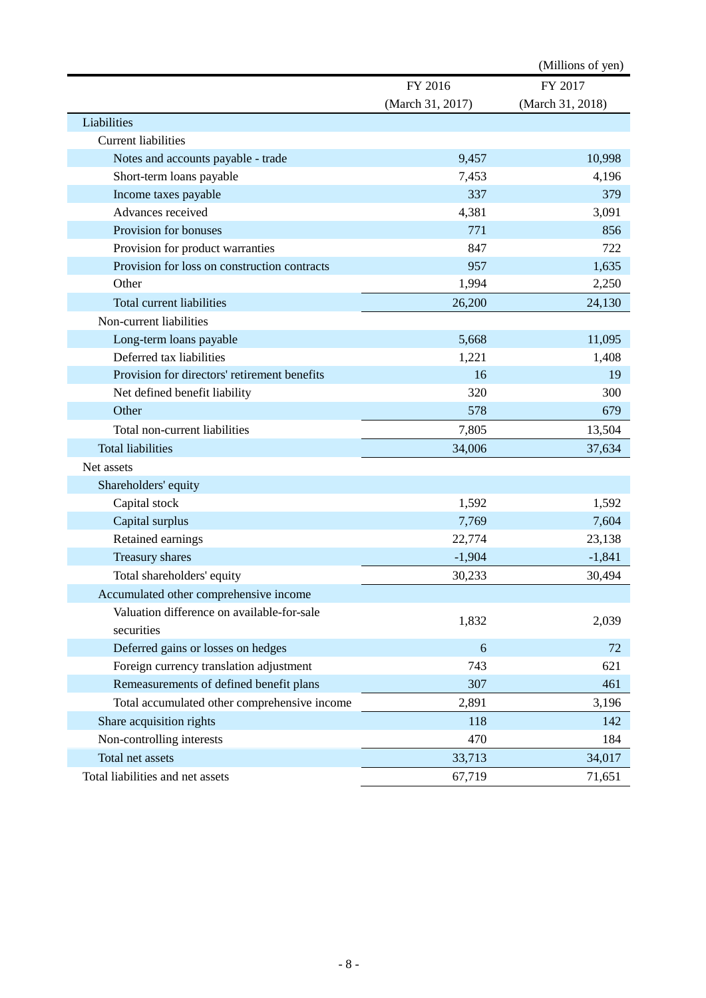|                                              |                  | (Millions of yen) |
|----------------------------------------------|------------------|-------------------|
|                                              | FY 2016          | FY 2017           |
|                                              | (March 31, 2017) | (March 31, 2018)  |
| Liabilities                                  |                  |                   |
| <b>Current liabilities</b>                   |                  |                   |
| Notes and accounts payable - trade           | 9,457            | 10,998            |
| Short-term loans payable                     | 7,453            | 4,196             |
| Income taxes payable                         | 337              | 379               |
| Advances received                            | 4,381            | 3,091             |
| Provision for bonuses                        | 771              | 856               |
| Provision for product warranties             | 847              | 722               |
| Provision for loss on construction contracts | 957              | 1,635             |
| Other                                        | 1,994            | 2,250             |
| Total current liabilities                    | 26,200           | 24,130            |
| Non-current liabilities                      |                  |                   |
| Long-term loans payable                      | 5,668            | 11,095            |
| Deferred tax liabilities                     | 1,221            | 1,408             |
| Provision for directors' retirement benefits | 16               | 19                |
| Net defined benefit liability                | 320              | 300               |
| Other                                        | 578              | 679               |
| Total non-current liabilities                | 7,805            | 13,504            |
| <b>Total liabilities</b>                     | 34,006           | 37,634            |
| Net assets                                   |                  |                   |
| Shareholders' equity                         |                  |                   |
| Capital stock                                | 1,592            | 1,592             |
| Capital surplus                              | 7,769            | 7,604             |
| Retained earnings                            | 22,774           | 23,138            |
| Treasury shares                              | $-1,904$         | $-1,841$          |
| Total shareholders' equity                   | 30,233           | 30,494            |
| Accumulated other comprehensive income       |                  |                   |
| Valuation difference on available-for-sale   |                  |                   |
| securities                                   | 1,832            | 2,039             |
| Deferred gains or losses on hedges           | 6                | 72                |
| Foreign currency translation adjustment      | 743              | 621               |
| Remeasurements of defined benefit plans      | 307              | 461               |
| Total accumulated other comprehensive income | 2,891            | 3,196             |
| Share acquisition rights                     | 118              | 142               |
| Non-controlling interests                    | 470              | 184               |
| Total net assets                             | 33,713           | 34,017            |
| Total liabilities and net assets             | 67,719           | 71,651            |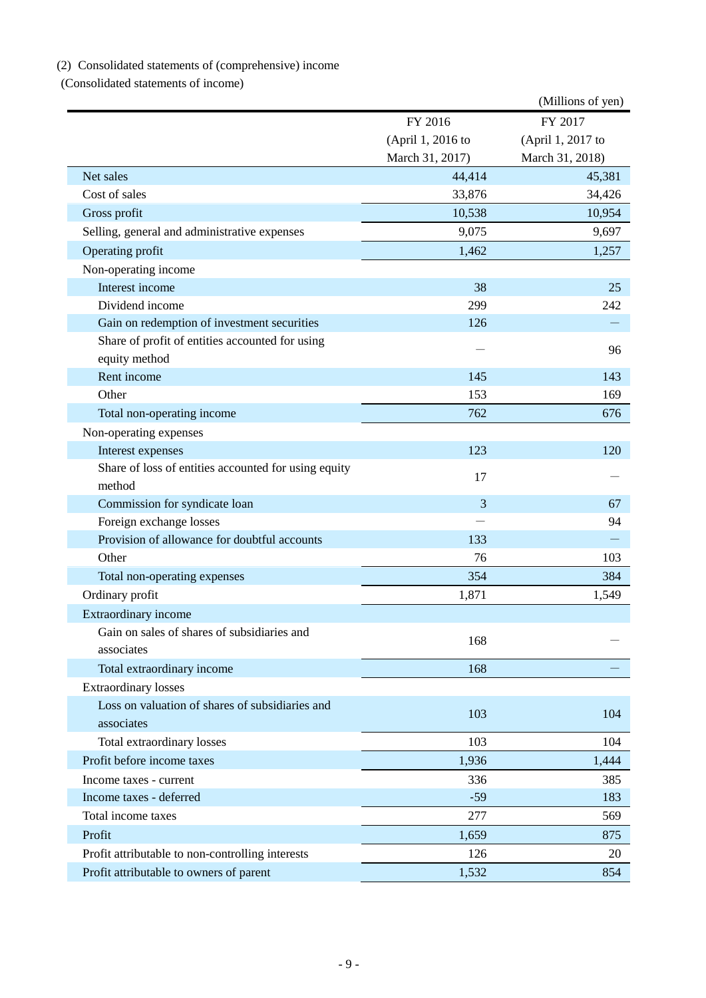# (2) Consolidated statements of (comprehensive) income

(Consolidated statements of income)

|                                                                |                   | (Millions of yen) |
|----------------------------------------------------------------|-------------------|-------------------|
|                                                                | FY 2016           | FY 2017           |
|                                                                | (April 1, 2016 to | (April 1, 2017 to |
|                                                                | March 31, 2017)   | March 31, 2018)   |
| Net sales                                                      | 44,414            | 45,381            |
| Cost of sales                                                  | 33,876            | 34,426            |
| Gross profit                                                   | 10,538            | 10,954            |
| Selling, general and administrative expenses                   | 9,075             | 9,697             |
| Operating profit                                               | 1,462             | 1,257             |
| Non-operating income                                           |                   |                   |
| Interest income                                                | 38                | 25                |
| Dividend income                                                | 299               | 242               |
| Gain on redemption of investment securities                    | 126               |                   |
| Share of profit of entities accounted for using                |                   |                   |
| equity method                                                  |                   | 96                |
| Rent income                                                    | 145               | 143               |
| Other                                                          | 153               | 169               |
| Total non-operating income                                     | 762               | 676               |
| Non-operating expenses                                         |                   |                   |
| Interest expenses                                              | 123               | 120               |
| Share of loss of entities accounted for using equity<br>method | 17                |                   |
| Commission for syndicate loan                                  | 3                 | 67                |
| Foreign exchange losses                                        |                   | 94                |
| Provision of allowance for doubtful accounts                   | 133               |                   |
| Other                                                          | 76                | 103               |
| Total non-operating expenses                                   | 354               | 384               |
| Ordinary profit                                                | 1,871             | 1,549             |
| <b>Extraordinary income</b>                                    |                   |                   |
| Gain on sales of shares of subsidiaries and                    |                   |                   |
| associates                                                     | 168               |                   |
| Total extraordinary income                                     | 168               |                   |
| <b>Extraordinary losses</b>                                    |                   |                   |
| Loss on valuation of shares of subsidiaries and                |                   |                   |
| associates                                                     | 103               | 104               |
| Total extraordinary losses                                     | 103               | 104               |
| Profit before income taxes                                     | 1,936             | 1,444             |
| Income taxes - current                                         | 336               | 385               |
| Income taxes - deferred                                        | $-59$             | 183               |
| Total income taxes                                             | 277               | 569               |
| Profit                                                         | 1,659             | 875               |
| Profit attributable to non-controlling interests               | 126               | 20                |
| Profit attributable to owners of parent                        | 1,532             | 854               |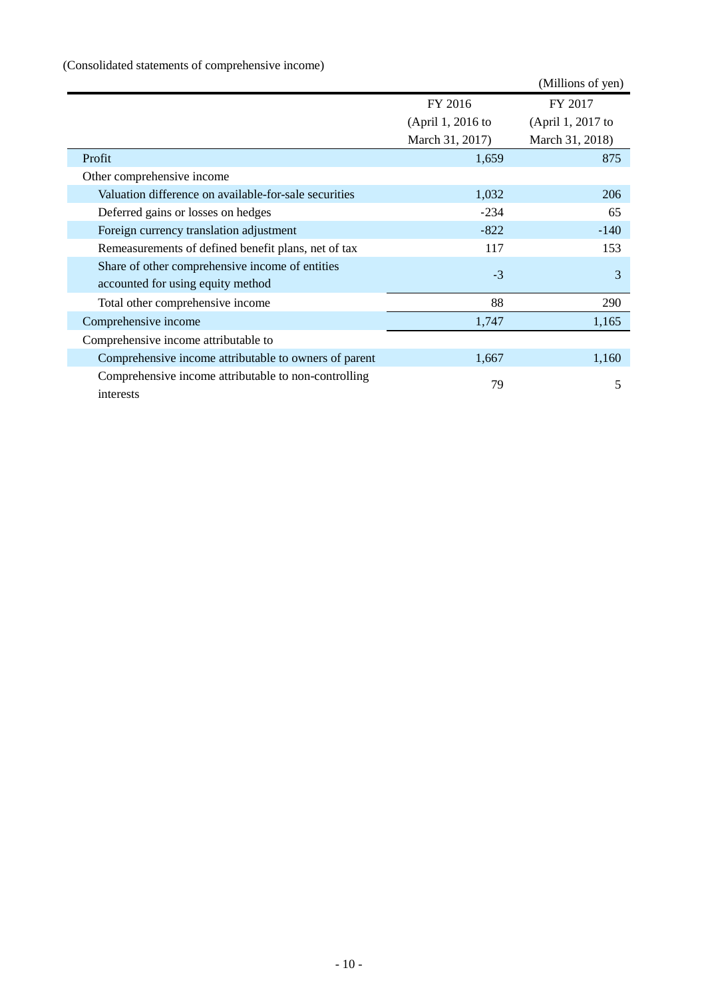# (Consolidated statements of comprehensive income)

|                                                                   |                   | (Millions of yen) |
|-------------------------------------------------------------------|-------------------|-------------------|
|                                                                   | FY 2016           | FY 2017           |
|                                                                   | (April 1, 2016 to | (April 1, 2017 to |
|                                                                   | March 31, 2017)   | March 31, 2018)   |
| Profit                                                            | 1,659             | 875               |
| Other comprehensive income                                        |                   |                   |
| Valuation difference on available-for-sale securities             | 1,032             | 206               |
| Deferred gains or losses on hedges                                | $-234$            | 65                |
| Foreign currency translation adjustment                           | $-822$            | $-140$            |
| Remeasurements of defined benefit plans, net of tax               | 117               | 153               |
| Share of other comprehensive income of entities                   | $-3$              | 3                 |
| accounted for using equity method                                 |                   |                   |
| Total other comprehensive income                                  | 88                | 290               |
| Comprehensive income                                              | 1,747             | 1,165             |
| Comprehensive income attributable to                              |                   |                   |
| Comprehensive income attributable to owners of parent             | 1,667             | 1,160             |
| Comprehensive income attributable to non-controlling<br>interests | 79                | 5                 |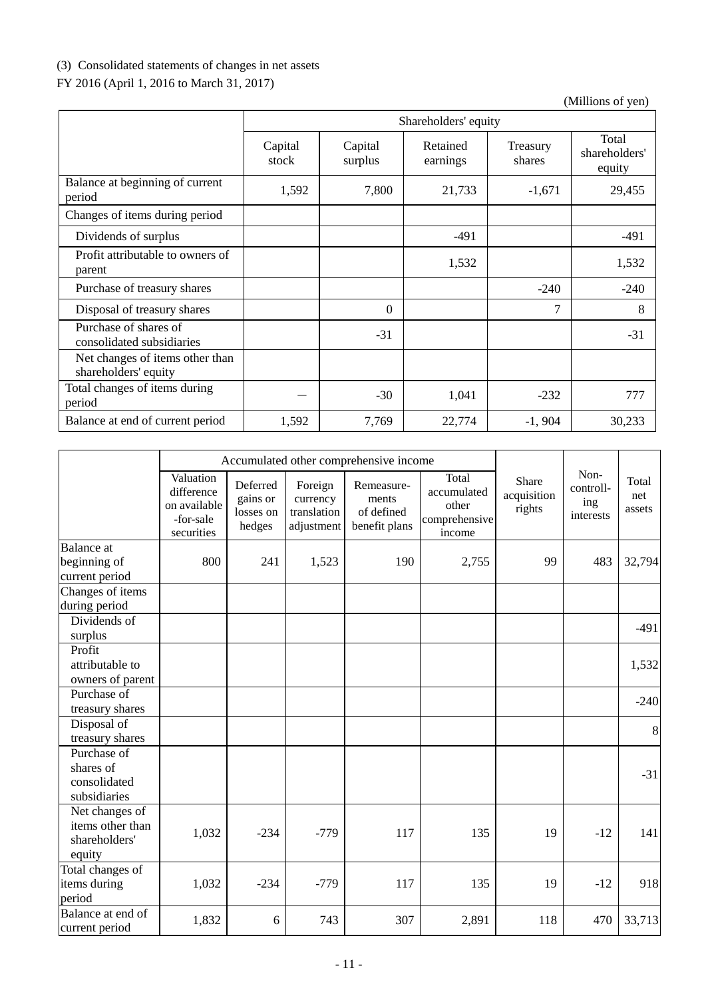# (3) Consolidated statements of changes in net assets

# FY 2016 (April 1, 2016 to March 31, 2017)

|                                                         |                  | Shareholders' equity |                      |                    |                                  |  |  |
|---------------------------------------------------------|------------------|----------------------|----------------------|--------------------|----------------------------------|--|--|
|                                                         | Capital<br>stock | Capital<br>surplus   | Retained<br>earnings | Treasury<br>shares | Total<br>shareholders'<br>equity |  |  |
| Balance at beginning of current<br>period               | 1,592            | 7,800                | 21,733               | $-1,671$           | 29,455                           |  |  |
| Changes of items during period                          |                  |                      |                      |                    |                                  |  |  |
| Dividends of surplus                                    |                  |                      | $-491$               |                    | $-491$                           |  |  |
| Profit attributable to owners of<br>parent              |                  |                      | 1,532                |                    | 1,532                            |  |  |
| Purchase of treasury shares                             |                  |                      |                      | $-240$             | $-240$                           |  |  |
| Disposal of treasury shares                             |                  | $\Omega$             |                      | $\overline{7}$     | 8                                |  |  |
| Purchase of shares of<br>consolidated subsidiaries      |                  | $-31$                |                      |                    | $-31$                            |  |  |
| Net changes of items other than<br>shareholders' equity |                  |                      |                      |                    |                                  |  |  |
| Total changes of items during<br>period                 |                  | $-30$                | 1,041                | $-232$             | 777                              |  |  |
| Balance at end of current period                        | 1,592            | 7,769                | 22,774               | $-1,904$           | 30,233                           |  |  |

|                                                               |                                                                    |                                             |                                                  | Accumulated other comprehensive income             |                                                          |                                |                                       |                        |
|---------------------------------------------------------------|--------------------------------------------------------------------|---------------------------------------------|--------------------------------------------------|----------------------------------------------------|----------------------------------------------------------|--------------------------------|---------------------------------------|------------------------|
|                                                               | Valuation<br>difference<br>on available<br>-for-sale<br>securities | Deferred<br>gains or<br>losses on<br>hedges | Foreign<br>currency<br>translation<br>adjustment | Remeasure-<br>ments<br>of defined<br>benefit plans | Total<br>accumulated<br>other<br>comprehensive<br>income | Share<br>acquisition<br>rights | Non-<br>controll-<br>ing<br>interests | Total<br>net<br>assets |
| <b>Balance</b> at                                             |                                                                    |                                             |                                                  |                                                    |                                                          |                                |                                       |                        |
| beginning of<br>current period                                | 800                                                                | 241                                         | 1,523                                            | 190                                                | 2,755                                                    | 99                             | 483                                   | 32,794                 |
| Changes of items<br>during period                             |                                                                    |                                             |                                                  |                                                    |                                                          |                                |                                       |                        |
| Dividends of<br>surplus                                       |                                                                    |                                             |                                                  |                                                    |                                                          |                                |                                       | $-491$                 |
| Profit<br>attributable to<br>owners of parent                 |                                                                    |                                             |                                                  |                                                    |                                                          |                                |                                       | 1,532                  |
| Purchase of<br>treasury shares                                |                                                                    |                                             |                                                  |                                                    |                                                          |                                |                                       | $-240$                 |
| Disposal of<br>treasury shares                                |                                                                    |                                             |                                                  |                                                    |                                                          |                                |                                       | $\,8\,$                |
| Purchase of<br>shares of<br>consolidated<br>subsidiaries      |                                                                    |                                             |                                                  |                                                    |                                                          |                                |                                       | $-31$                  |
| Net changes of<br>items other than<br>shareholders'<br>equity | 1,032                                                              | $-234$                                      | $-779$                                           | 117                                                | 135                                                      | 19                             | $-12$                                 | 141                    |
| Total changes of<br>items during<br>period                    | 1,032                                                              | $-234$                                      | $-779$                                           | 117                                                | 135                                                      | 19                             | $-12$                                 | 918                    |
| Balance at end of<br>current period                           | 1,832                                                              | 6                                           | 743                                              | 307                                                | 2,891                                                    | 118                            | 470                                   | 33,713                 |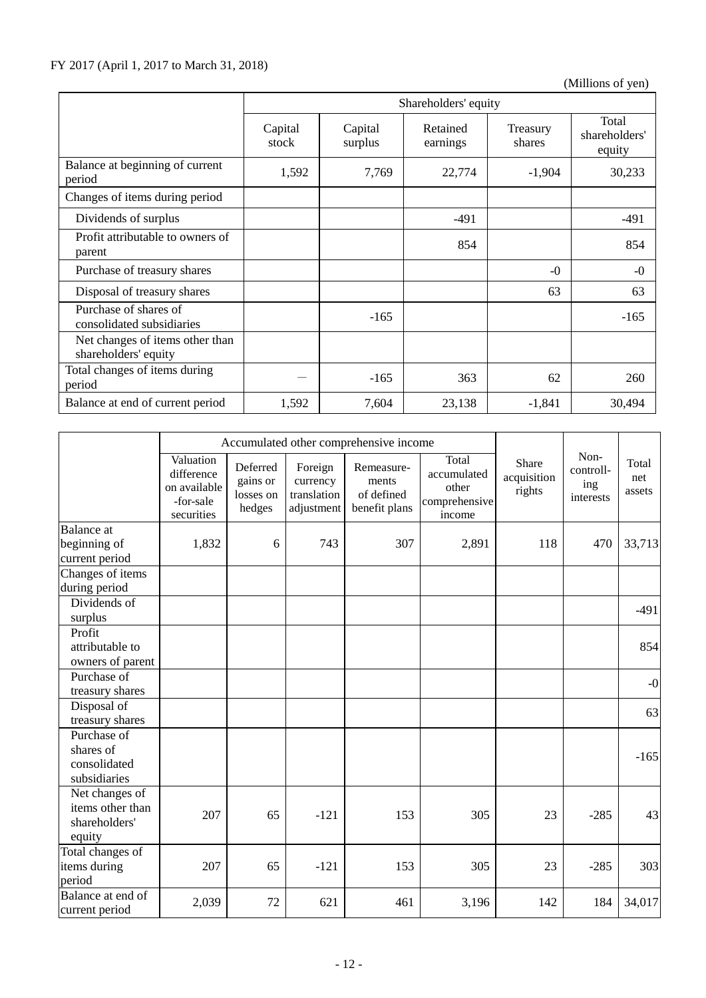|                                                         |                  | Shareholders' equity |                      |                    |                                  |  |  |  |
|---------------------------------------------------------|------------------|----------------------|----------------------|--------------------|----------------------------------|--|--|--|
|                                                         | Capital<br>stock | Capital<br>surplus   | Retained<br>earnings | Treasury<br>shares | Total<br>shareholders'<br>equity |  |  |  |
| Balance at beginning of current<br>period               | 1,592            | 7,769                | 22,774               | $-1,904$           | 30,233                           |  |  |  |
| Changes of items during period                          |                  |                      |                      |                    |                                  |  |  |  |
| Dividends of surplus                                    |                  |                      | $-491$               |                    | $-491$                           |  |  |  |
| Profit attributable to owners of<br>parent              |                  |                      | 854                  |                    | 854                              |  |  |  |
| Purchase of treasury shares                             |                  |                      |                      | $-0$               | $-0$                             |  |  |  |
| Disposal of treasury shares                             |                  |                      |                      | 63                 | 63                               |  |  |  |
| Purchase of shares of<br>consolidated subsidiaries      |                  | $-165$               |                      |                    | $-165$                           |  |  |  |
| Net changes of items other than<br>shareholders' equity |                  |                      |                      |                    |                                  |  |  |  |
| Total changes of items during<br>period                 |                  | $-165$               | 363                  | 62                 | 260                              |  |  |  |
| Balance at end of current period                        | 1,592            | 7,604                | 23,138               | $-1,841$           | 30,494                           |  |  |  |

|                                                               |                                                                    |                                             |                                                  | Accumulated other comprehensive income             |                                                          |                                |                                       |                        |
|---------------------------------------------------------------|--------------------------------------------------------------------|---------------------------------------------|--------------------------------------------------|----------------------------------------------------|----------------------------------------------------------|--------------------------------|---------------------------------------|------------------------|
|                                                               | Valuation<br>difference<br>on available<br>-for-sale<br>securities | Deferred<br>gains or<br>losses on<br>hedges | Foreign<br>currency<br>translation<br>adjustment | Remeasure-<br>ments<br>of defined<br>benefit plans | Total<br>accumulated<br>other<br>comprehensive<br>income | Share<br>acquisition<br>rights | Non-<br>controll-<br>ing<br>interests | Total<br>net<br>assets |
| <b>Balance</b> at                                             |                                                                    |                                             |                                                  |                                                    |                                                          |                                |                                       |                        |
| beginning of<br>current period                                | 1,832                                                              | 6                                           | 743                                              | 307                                                | 2,891                                                    | 118                            | 470                                   | 33,713                 |
| Changes of items<br>during period                             |                                                                    |                                             |                                                  |                                                    |                                                          |                                |                                       |                        |
| Dividends of<br>surplus                                       |                                                                    |                                             |                                                  |                                                    |                                                          |                                |                                       | $-491$                 |
| Profit<br>attributable to<br>owners of parent                 |                                                                    |                                             |                                                  |                                                    |                                                          |                                |                                       | 854                    |
| Purchase of<br>treasury shares                                |                                                                    |                                             |                                                  |                                                    |                                                          |                                |                                       | $-0$                   |
| Disposal of<br>treasury shares                                |                                                                    |                                             |                                                  |                                                    |                                                          |                                |                                       | 63                     |
| Purchase of<br>shares of<br>consolidated<br>subsidiaries      |                                                                    |                                             |                                                  |                                                    |                                                          |                                |                                       | $-165$                 |
| Net changes of<br>items other than<br>shareholders'<br>equity | 207                                                                | 65                                          | $-121$                                           | 153                                                | 305                                                      | 23                             | $-285$                                | 43                     |
| Total changes of<br>items during<br>period                    | 207                                                                | 65                                          | $-121$                                           | 153                                                | 305                                                      | 23                             | $-285$                                | 303                    |
| Balance at end of<br>current period                           | 2,039                                                              | 72                                          | 621                                              | 461                                                | 3,196                                                    | 142                            | 184                                   | 34,017                 |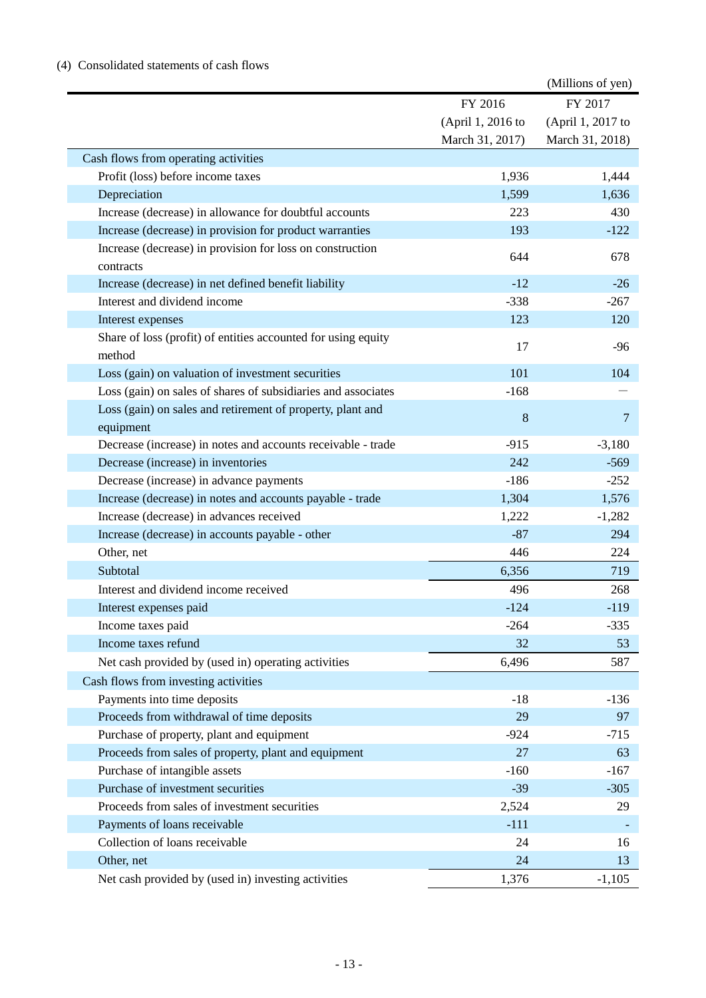# (4) Consolidated statements of cash flows

|                                                                         |                   | (Millions of yen) |
|-------------------------------------------------------------------------|-------------------|-------------------|
|                                                                         | FY 2016           | FY 2017           |
|                                                                         | (April 1, 2016 to | (April 1, 2017 to |
|                                                                         | March 31, 2017)   | March 31, 2018)   |
| Cash flows from operating activities                                    |                   |                   |
| Profit (loss) before income taxes                                       | 1,936             | 1,444             |
| Depreciation                                                            | 1,599             | 1,636             |
| Increase (decrease) in allowance for doubtful accounts                  | 223               | 430               |
| Increase (decrease) in provision for product warranties                 | 193               | $-122$            |
| Increase (decrease) in provision for loss on construction               | 644               | 678               |
| contracts                                                               |                   |                   |
| Increase (decrease) in net defined benefit liability                    | $-12$             | $-26$             |
| Interest and dividend income                                            | $-338$            | $-267$            |
| Interest expenses                                                       | 123               | 120               |
| Share of loss (profit) of entities accounted for using equity<br>method | 17                | $-96$             |
| Loss (gain) on valuation of investment securities                       | 101               | 104               |
| Loss (gain) on sales of shares of subsidiaries and associates           | $-168$            |                   |
| Loss (gain) on sales and retirement of property, plant and              | $8\,$             | $\overline{7}$    |
| equipment                                                               |                   |                   |
| Decrease (increase) in notes and accounts receivable - trade            | $-915$            | $-3,180$          |
| Decrease (increase) in inventories                                      | 242               | $-569$            |
| Decrease (increase) in advance payments                                 | $-186$            | $-252$            |
| Increase (decrease) in notes and accounts payable - trade               | 1,304             | 1,576             |
| Increase (decrease) in advances received                                | 1,222             | $-1,282$          |
| Increase (decrease) in accounts payable - other                         | $-87$             | 294               |
| Other, net                                                              | 446               | 224               |
| Subtotal                                                                | 6,356             | 719               |
| Interest and dividend income received                                   | 496               | 268               |
| Interest expenses paid                                                  | $-124$            | $-119$            |
| Income taxes paid                                                       | $-264$            | $-335$            |
| Income taxes refund                                                     | 32                | 53                |
| Net cash provided by (used in) operating activities                     | 6,496             | 587               |
| Cash flows from investing activities                                    |                   |                   |
| Payments into time deposits                                             | $-18$             | $-136$            |
| Proceeds from withdrawal of time deposits                               | 29                | 97                |
| Purchase of property, plant and equipment                               | $-924$            | $-715$            |
| Proceeds from sales of property, plant and equipment                    | 27                | 63                |
| Purchase of intangible assets                                           | $-160$            | $-167$            |
| Purchase of investment securities                                       | $-39$             | $-305$            |
| Proceeds from sales of investment securities                            | 2,524             | 29                |
| Payments of loans receivable                                            | $-111$            |                   |
| Collection of loans receivable                                          | 24                | 16                |
| Other, net                                                              | 24                | 13                |
| Net cash provided by (used in) investing activities                     | 1,376             | $-1,105$          |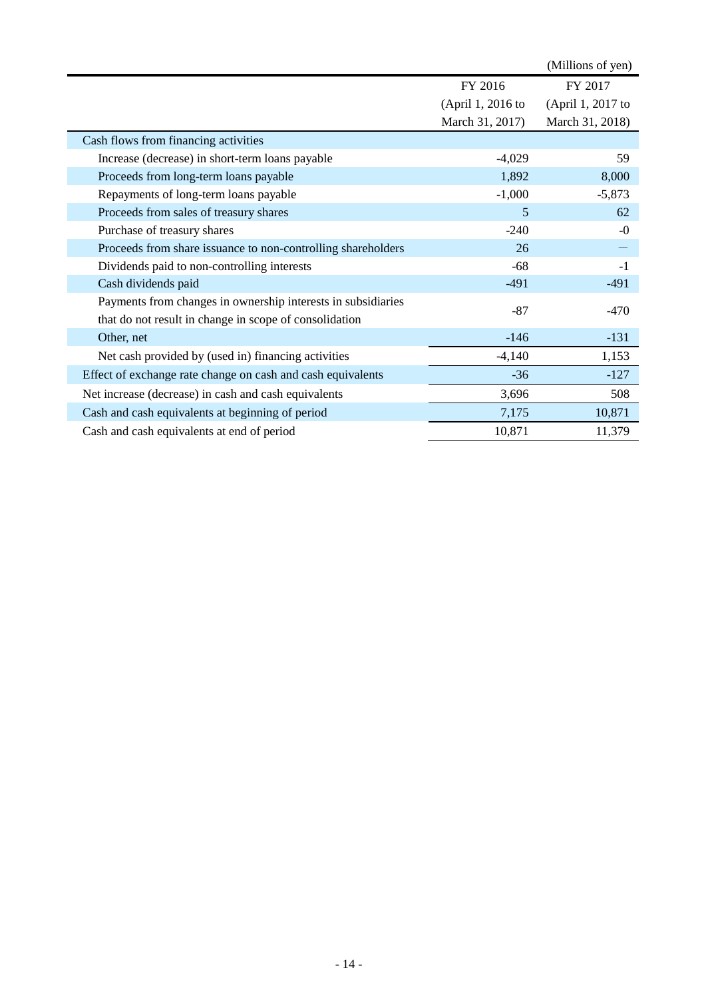|                                                              |                   | (Millions of yen) |
|--------------------------------------------------------------|-------------------|-------------------|
|                                                              | FY 2016           | FY 2017           |
|                                                              | (April 1, 2016 to | (April 1, 2017 to |
|                                                              | March 31, 2017)   | March 31, 2018)   |
| Cash flows from financing activities                         |                   |                   |
| Increase (decrease) in short-term loans payable              | $-4,029$          | 59                |
| Proceeds from long-term loans payable                        | 1,892             | 8,000             |
| Repayments of long-term loans payable                        | $-1,000$          | $-5,873$          |
| Proceeds from sales of treasury shares                       | 5                 | 62                |
| Purchase of treasury shares                                  | $-240$            | $-0$              |
| Proceeds from share issuance to non-controlling shareholders | 26                |                   |
| Dividends paid to non-controlling interests                  | $-68$             | $-1$              |
| Cash dividends paid                                          | $-491$            | $-491$            |
| Payments from changes in ownership interests in subsidiaries | $-87$             | -470              |
| that do not result in change in scope of consolidation       |                   |                   |
| Other, net                                                   | $-146$            | $-131$            |
| Net cash provided by (used in) financing activities          | $-4,140$          | 1,153             |
| Effect of exchange rate change on cash and cash equivalents  | $-36$             | $-127$            |
| Net increase (decrease) in cash and cash equivalents         | 3,696             | 508               |
| Cash and cash equivalents at beginning of period             | 7,175             | 10,871            |
| Cash and cash equivalents at end of period                   | 10,871            | 11,379            |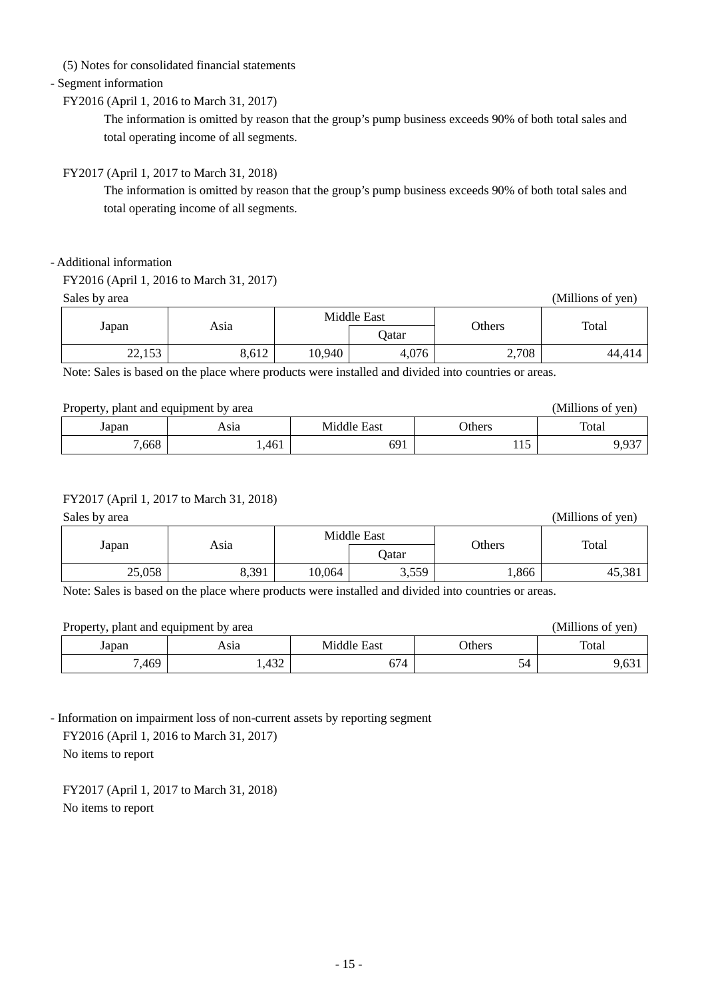(5) Notes for consolidated financial statements

## - Segment information

## FY2016 (April 1, 2016 to March 31, 2017)

The information is omitted by reason that the group's pump business exceeds 90% of both total sales and total operating income of all segments.

## FY2017 (April 1, 2017 to March 31, 2018)

The information is omitted by reason that the group's pump business exceeds 90% of both total sales and total operating income of all segments.

#### - Additional information

## FY2016 (April 1, 2016 to March 31, 2017)

Sales by area (Millions of yen)

|                 |       | Middle East |       |        | Total  |
|-----------------|-------|-------------|-------|--------|--------|
| Japan           | Asia  |             | Qatar | Others |        |
| 22152<br>22,133 | 8,612 | 10,940      | 4,076 | 2,708  | 44,414 |

Note: Sales is based on the place where products were installed and divided into countries or areas.

## Property, plant and equipment by area (Millions of yen)

| $\ldots$ |       |                                                   |               |                                           |
|----------|-------|---------------------------------------------------|---------------|-------------------------------------------|
| Japan    | Asıa  | $-$<br>$\overline{\phantom{0}}$<br>East<br>AlbriV | <b>Jthers</b> | Total                                     |
| ,668     | 1,461 | 691                                               | 11J           | $\Omega$<br>u<br>$\overline{\phantom{a}}$ |

#### FY2017 (April 1, 2017 to March 31, 2018)

Sales by area (Millions of yen) Sales by area (Millions of yen) Sales by area (Millions of yen)

| Japan  |       | Middle East |       |        |        |
|--------|-------|-------------|-------|--------|--------|
|        | Asia  |             | Qatar | Others | Total  |
| 25,058 | 8,391 | 10,064      | 3,559 | 1,866  | 45,381 |

Note: Sales is based on the place where products were installed and divided into countries or areas.

| Property, plant and equipment by area |      |             |               | (Millions of yen) |
|---------------------------------------|------|-------------|---------------|-------------------|
| Japan                                 | Asıa | Middle East | <b>Others</b> | Total             |
| 7,469                                 | .432 | 674         |               | 9,63 <sub>1</sub> |

- Information on impairment loss of non-current assets by reporting segment

FY2016 (April 1, 2016 to March 31, 2017)

No items to report

FY2017 (April 1, 2017 to March 31, 2018) No items to report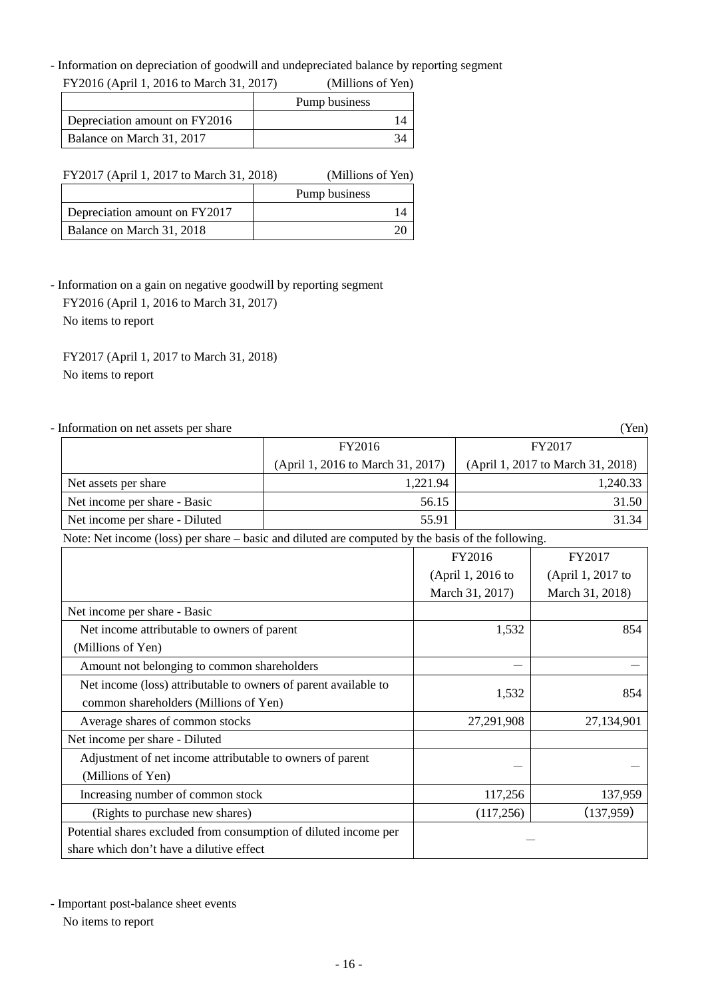- Information on depreciation of goodwill and undepreciated balance by reporting segment<br>
EXAMPLE CALL 2016 LAMPLE CALL 2017

| FY2016 (April 1, 2016 to March 31, 2017) | (Millions of Yen) |
|------------------------------------------|-------------------|
|                                          | Pump business     |
| Depreciation amount on FY2016            |                   |
| Balance on March 31, 2017                |                   |

| FY2017 (April 1, 2017 to March 31, 2018) |  | (Millions of Yen) |  |
|------------------------------------------|--|-------------------|--|
|                                          |  | Pump business     |  |
| Depreciation amount on FY2017            |  | l 4               |  |
| Balance on March 31, 2018                |  |                   |  |

- Information on a gain on negative goodwill by reporting segment

 FY2016 (April 1, 2016 to March 31, 2017) No items to report

FY2017 (April 1, 2017 to March 31, 2018) No items to report

| - Information on net assets per share                                                             |                                   |          |                   | (Yen)                             |
|---------------------------------------------------------------------------------------------------|-----------------------------------|----------|-------------------|-----------------------------------|
|                                                                                                   | FY2016                            |          |                   | FY2017                            |
|                                                                                                   | (April 1, 2016 to March 31, 2017) |          |                   | (April 1, 2017 to March 31, 2018) |
| Net assets per share                                                                              |                                   | 1,221.94 |                   | 1,240.33                          |
| Net income per share - Basic                                                                      |                                   | 56.15    |                   | 31.50                             |
| Net income per share - Diluted                                                                    |                                   | 55.91    |                   | 31.34                             |
| Note: Net income (loss) per share – basic and diluted are computed by the basis of the following. |                                   |          |                   |                                   |
|                                                                                                   |                                   |          | FY2016            | FY2017                            |
|                                                                                                   |                                   |          | (April 1, 2016 to | (April 1, 2017 to                 |
|                                                                                                   |                                   |          | March 31, 2017)   | March 31, 2018)                   |
| Net income per share - Basic                                                                      |                                   |          |                   |                                   |
| Net income attributable to owners of parent                                                       |                                   |          | 1,532             | 854                               |
| (Millions of Yen)                                                                                 |                                   |          |                   |                                   |
| Amount not belonging to common shareholders                                                       |                                   |          |                   |                                   |
| Net income (loss) attributable to owners of parent available to                                   |                                   |          |                   |                                   |
| common shareholders (Millions of Yen)                                                             |                                   |          | 1,532             | 854                               |
| Average shares of common stocks                                                                   |                                   |          | 27,291,908        | 27,134,901                        |
| Net income per share - Diluted                                                                    |                                   |          |                   |                                   |
| Adjustment of net income attributable to owners of parent                                         |                                   |          |                   |                                   |
| (Millions of Yen)                                                                                 |                                   |          |                   |                                   |
| Increasing number of common stock                                                                 |                                   |          | 117,256           | 137,959                           |
| (Rights to purchase new shares)                                                                   |                                   |          | (117, 256)        | (137,959)                         |
| Potential shares excluded from consumption of diluted income per                                  |                                   |          |                   |                                   |
| share which don't have a dilutive effect                                                          |                                   |          |                   |                                   |

- Important post-balance sheet events

No items to report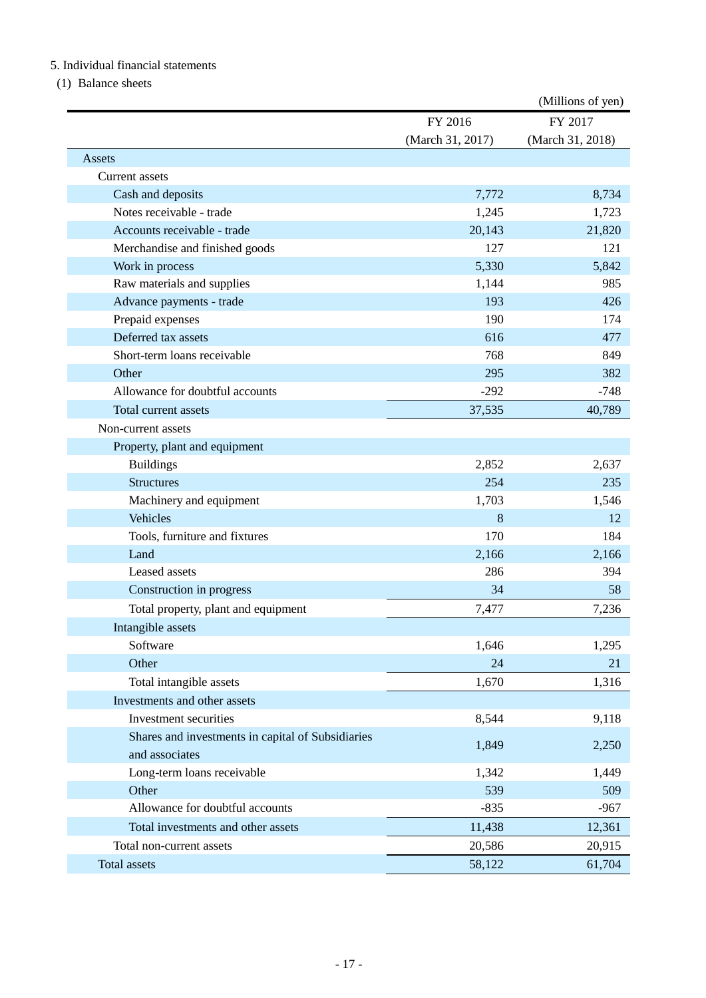# 5. Individual financial statements

(1) Balance sheets

|                                                   |                  | (Millions of yen) |
|---------------------------------------------------|------------------|-------------------|
|                                                   | FY 2016          | FY 2017           |
|                                                   | (March 31, 2017) | (March 31, 2018)  |
| Assets                                            |                  |                   |
| Current assets                                    |                  |                   |
| Cash and deposits                                 | 7,772            | 8,734             |
| Notes receivable - trade                          | 1,245            | 1,723             |
| Accounts receivable - trade                       | 20,143           | 21,820            |
| Merchandise and finished goods                    | 127              | 121               |
| Work in process                                   | 5,330            | 5,842             |
| Raw materials and supplies                        | 1,144            | 985               |
| Advance payments - trade                          | 193              | 426               |
| Prepaid expenses                                  | 190              | 174               |
| Deferred tax assets                               | 616              | 477               |
| Short-term loans receivable                       | 768              | 849               |
| Other                                             | 295              | 382               |
| Allowance for doubtful accounts                   | $-292$           | $-748$            |
| Total current assets                              | 37,535           | 40,789            |
| Non-current assets                                |                  |                   |
| Property, plant and equipment                     |                  |                   |
| <b>Buildings</b>                                  | 2,852            | 2,637             |
| <b>Structures</b>                                 | 254              | 235               |
| Machinery and equipment                           | 1,703            | 1,546             |
| Vehicles                                          | 8                | 12                |
| Tools, furniture and fixtures                     | 170              | 184               |
| Land                                              | 2,166            | 2,166             |
| Leased assets                                     | 286              | 394               |
| Construction in progress                          | 34               | 58                |
| Total property, plant and equipment               | 7,477            | 7,236             |
| Intangible assets                                 |                  |                   |
| Software                                          | 1,646            | 1,295             |
| Other                                             | 24               | 21                |
| Total intangible assets                           | 1,670            | 1,316             |
| Investments and other assets                      |                  |                   |
| Investment securities                             | 8,544            | 9,118             |
| Shares and investments in capital of Subsidiaries |                  |                   |
| and associates                                    | 1,849            | 2,250             |
| Long-term loans receivable                        | 1,342            | 1,449             |
| Other                                             | 539              | 509               |
| Allowance for doubtful accounts                   | $-835$           | $-967$            |
| Total investments and other assets                | 11,438           | 12,361            |
| Total non-current assets                          |                  |                   |
|                                                   | 20,586           | 20,915            |
| Total assets                                      | 58,122           | 61,704            |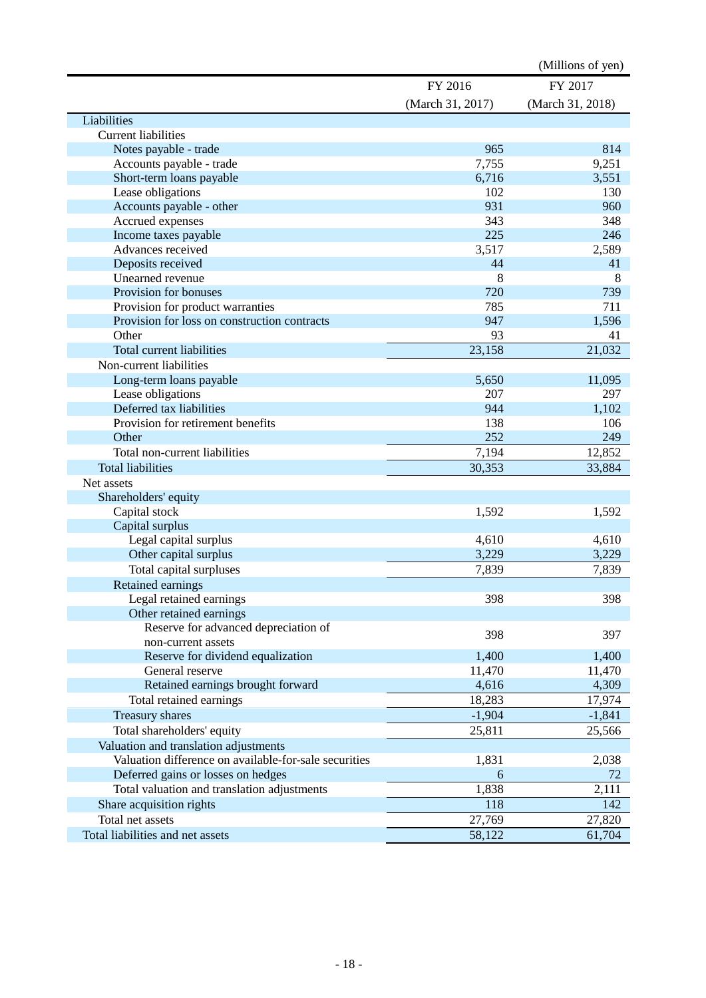|                                                       |                  | (Millions of yen) |
|-------------------------------------------------------|------------------|-------------------|
|                                                       | FY 2016          | FY 2017           |
|                                                       | (March 31, 2017) | (March 31, 2018)  |
|                                                       |                  |                   |
| Liabilities                                           |                  |                   |
| <b>Current liabilities</b>                            |                  | 814               |
| Notes payable - trade                                 | 965              |                   |
| Accounts payable - trade                              | 7,755            | 9,251             |
| Short-term loans payable                              | 6,716            | 3,551             |
| Lease obligations                                     | 102              | 130               |
| Accounts payable - other                              | 931<br>343       | 960               |
| Accrued expenses                                      | 225              | 348<br>246        |
| Income taxes payable<br>Advances received             |                  |                   |
|                                                       | 3,517<br>44      | 2,589<br>41       |
| Deposits received<br>Unearned revenue                 | 8                | 8                 |
| Provision for bonuses                                 | 720              | 739               |
| Provision for product warranties                      | 785              | 711               |
| Provision for loss on construction contracts          | 947              |                   |
| Other                                                 | 93               | 1,596<br>41       |
|                                                       |                  |                   |
| <b>Total current liabilities</b>                      | 23,158           | 21,032            |
| Non-current liabilities                               |                  |                   |
| Long-term loans payable                               | 5,650            | 11,095            |
| Lease obligations                                     | 207              | 297               |
| Deferred tax liabilities                              | 944              | 1,102             |
| Provision for retirement benefits                     | 138              | 106               |
| Other                                                 | 252              | 249               |
| Total non-current liabilities                         | 7,194            | 12,852            |
| <b>Total liabilities</b>                              | 30,353           | 33,884            |
| Net assets                                            |                  |                   |
| Shareholders' equity                                  |                  |                   |
| Capital stock                                         | 1,592            | 1,592             |
| Capital surplus                                       |                  |                   |
| Legal capital surplus                                 | 4,610            | 4,610             |
| Other capital surplus                                 | 3,229            | 3,229             |
| Total capital surpluses                               | 7,839            | 7,839             |
| Retained earnings                                     |                  |                   |
| Legal retained earnings                               | 398              | 398               |
| Other retained earnings                               |                  |                   |
| Reserve for advanced depreciation of                  | 398              | 397               |
| non-current assets                                    |                  |                   |
| Reserve for dividend equalization                     | 1,400            | 1,400             |
| General reserve                                       | 11,470           | 11,470            |
| Retained earnings brought forward                     | 4,616            | 4,309             |
| Total retained earnings                               | 18,283           | 17,974            |
| <b>Treasury shares</b>                                | $-1,904$         | $-1,841$          |
| Total shareholders' equity                            | 25,811           | 25,566            |
| Valuation and translation adjustments                 |                  |                   |
| Valuation difference on available-for-sale securities | 1,831            | 2,038             |
| Deferred gains or losses on hedges                    | 6                | 72                |
| Total valuation and translation adjustments           | 1,838            | 2,111             |
| Share acquisition rights                              | 118              | 142               |
| Total net assets                                      | 27,769           | 27,820            |
| Total liabilities and net assets                      | 58,122           | 61,704            |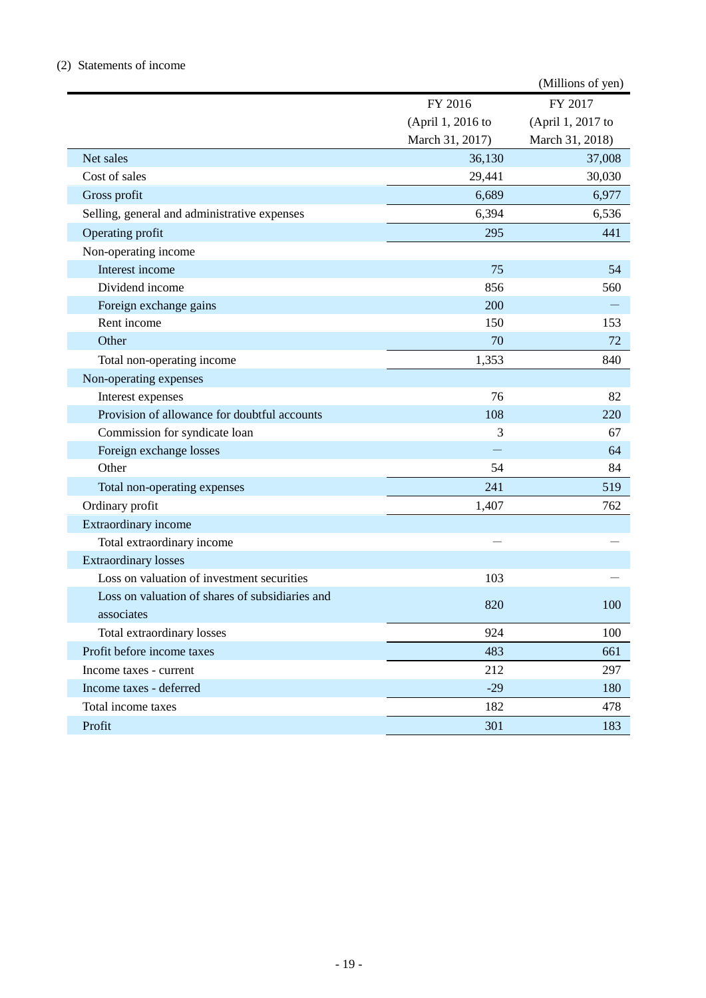# (2) Statements of income

|                                                 |                   | (Millions of yen) |
|-------------------------------------------------|-------------------|-------------------|
|                                                 | FY 2016           | FY 2017           |
|                                                 | (April 1, 2016 to | (April 1, 2017 to |
|                                                 | March 31, 2017)   | March 31, 2018)   |
| Net sales                                       | 36,130            | 37,008            |
| Cost of sales                                   | 29,441            | 30,030            |
| Gross profit                                    | 6,689             | 6,977             |
| Selling, general and administrative expenses    | 6,394             | 6,536             |
| Operating profit                                | 295               | 441               |
| Non-operating income                            |                   |                   |
| Interest income                                 | 75                | 54                |
| Dividend income                                 | 856               | 560               |
| Foreign exchange gains                          | 200               |                   |
| Rent income                                     | 150               | 153               |
| Other                                           | 70                | 72                |
| Total non-operating income                      | 1,353             | 840               |
| Non-operating expenses                          |                   |                   |
| Interest expenses                               | 76                | 82                |
| Provision of allowance for doubtful accounts    | 108               | 220               |
| Commission for syndicate loan                   | 3                 | 67                |
| Foreign exchange losses                         |                   | 64                |
| Other                                           | 54                | 84                |
| Total non-operating expenses                    | 241               | 519               |
| Ordinary profit                                 | 1,407             | 762               |
| Extraordinary income                            |                   |                   |
| Total extraordinary income                      |                   |                   |
| <b>Extraordinary losses</b>                     |                   |                   |
| Loss on valuation of investment securities      | 103               |                   |
| Loss on valuation of shares of subsidiaries and | 820               | 100               |
| associates                                      |                   |                   |
| Total extraordinary losses                      | 924               | 100               |
| Profit before income taxes                      | 483               | 661               |
| Income taxes - current                          | 212               | 297               |
| Income taxes - deferred                         | $-29$             | 180               |
| Total income taxes                              | 182               | 478               |
| Profit                                          | 301               | 183               |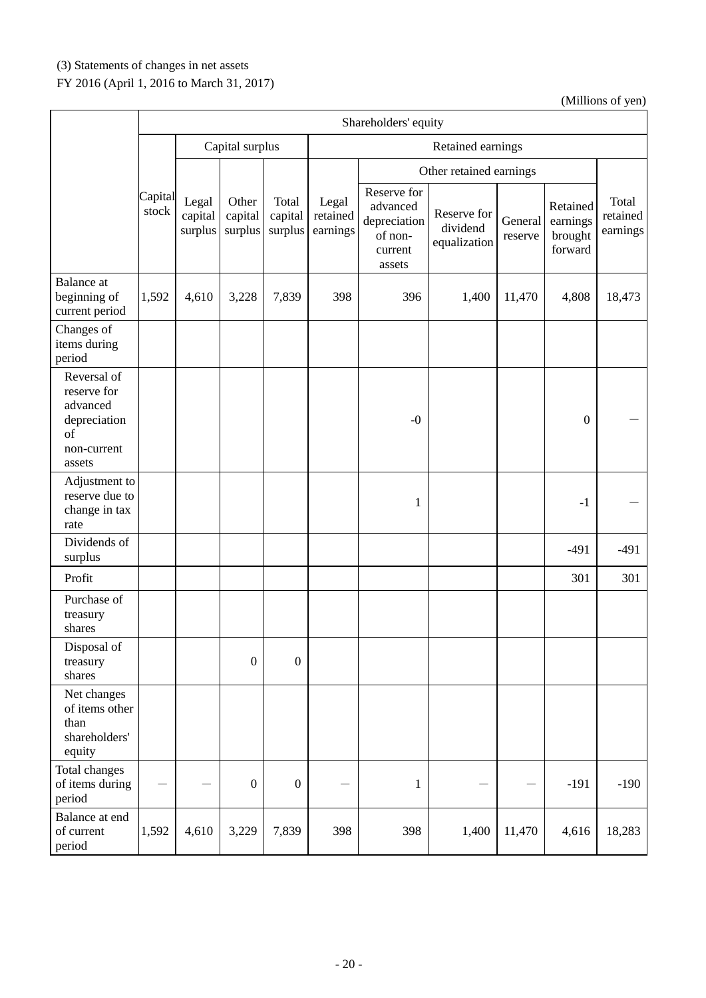# (3) Statements of changes in net assets

# FY 2016 (April 1, 2016 to March 31, 2017)

|                                                                                       | Shareholders' equity |                             |                             |                             |                               |                                                                         |                                         |                    |                                            |                               |  |
|---------------------------------------------------------------------------------------|----------------------|-----------------------------|-----------------------------|-----------------------------|-------------------------------|-------------------------------------------------------------------------|-----------------------------------------|--------------------|--------------------------------------------|-------------------------------|--|
|                                                                                       |                      |                             | Capital surplus             |                             |                               | Retained earnings                                                       |                                         |                    |                                            |                               |  |
|                                                                                       |                      |                             |                             |                             |                               | Other retained earnings                                                 |                                         |                    |                                            |                               |  |
|                                                                                       | Capital<br>stock     | Legal<br>capital<br>surplus | Other<br>capital<br>surplus | Total<br>capital<br>surplus | Legal<br>retained<br>earnings | Reserve for<br>advanced<br>depreciation<br>of non-<br>current<br>assets | Reserve for<br>dividend<br>equalization | General<br>reserve | Retained<br>earnings<br>brought<br>forward | Total<br>retained<br>earnings |  |
| <b>Balance</b> at<br>beginning of<br>current period                                   | 1,592                | 4,610                       | 3,228                       | 7,839                       | 398                           | 396                                                                     | 1,400                                   | 11,470             | 4,808                                      | 18,473                        |  |
| Changes of<br>items during<br>period                                                  |                      |                             |                             |                             |                               |                                                                         |                                         |                    |                                            |                               |  |
| Reversal of<br>reserve for<br>advanced<br>depreciation<br>of<br>non-current<br>assets |                      |                             |                             |                             |                               | $-0$                                                                    |                                         |                    | $\mathbf{0}$                               |                               |  |
| Adjustment to<br>reserve due to<br>change in tax<br>rate                              |                      |                             |                             |                             |                               | $\mathbf{1}$                                                            |                                         |                    | $-1$                                       |                               |  |
| Dividends of<br>surplus                                                               |                      |                             |                             |                             |                               |                                                                         |                                         |                    | $-491$                                     | $-491$                        |  |
| Profit                                                                                |                      |                             |                             |                             |                               |                                                                         |                                         |                    | 301                                        | 301                           |  |
| Purchase of<br>treasury<br>shares                                                     |                      |                             |                             |                             |                               |                                                                         |                                         |                    |                                            |                               |  |
| Disposal of<br>treasury<br>shares                                                     |                      |                             | $\boldsymbol{0}$            | $\boldsymbol{0}$            |                               |                                                                         |                                         |                    |                                            |                               |  |
| Net changes<br>of items other<br>than<br>shareholders'<br>equity                      |                      |                             |                             |                             |                               |                                                                         |                                         |                    |                                            |                               |  |
| Total changes<br>of items during<br>period                                            |                      |                             | $\boldsymbol{0}$            | $\boldsymbol{0}$            |                               | $\mathbf{1}$                                                            |                                         |                    | $-191$                                     | $-190$                        |  |
| Balance at end<br>of current<br>period                                                | 1,592                | 4,610                       | 3,229                       | 7,839                       | 398                           | 398                                                                     | 1,400                                   | 11,470             | 4,616                                      | 18,283                        |  |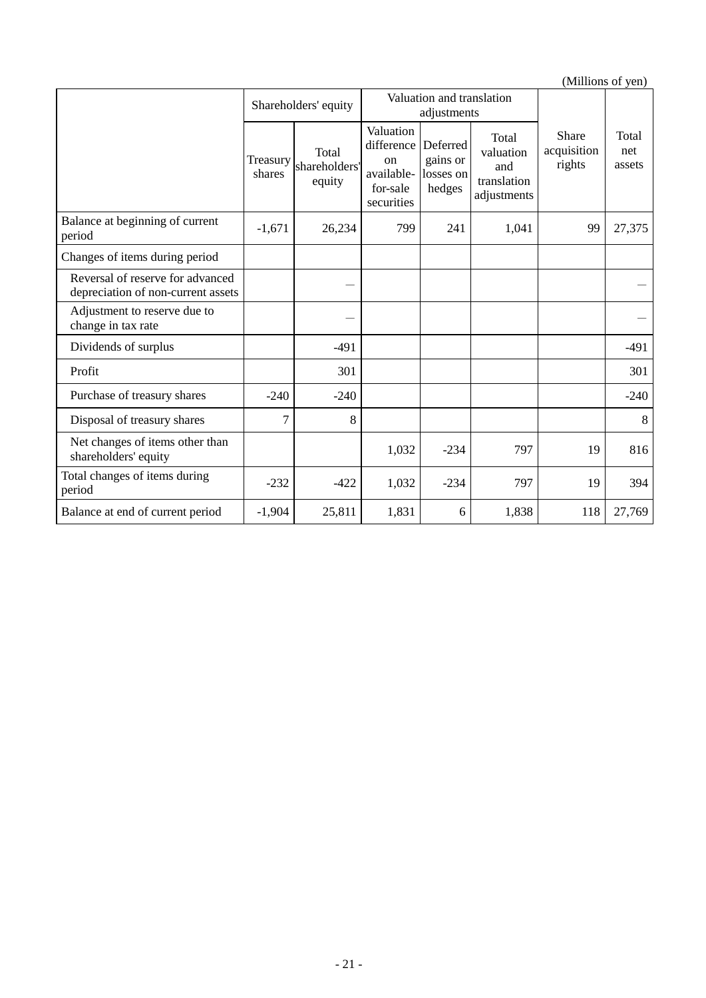|                                                                        |                    | Shareholders' equity             |                                                                       | Valuation and translation<br>adjustments    |                                                         |                                |                        |
|------------------------------------------------------------------------|--------------------|----------------------------------|-----------------------------------------------------------------------|---------------------------------------------|---------------------------------------------------------|--------------------------------|------------------------|
|                                                                        | Treasury<br>shares | Total<br>shareholders'<br>equity | Valuation<br>difference<br>on<br>available-<br>for-sale<br>securities | Deferred<br>gains or<br>losses on<br>hedges | Total<br>valuation<br>and<br>translation<br>adjustments | Share<br>acquisition<br>rights | Total<br>net<br>assets |
| Balance at beginning of current<br>period                              | $-1,671$           | 26,234                           | 799                                                                   | 241                                         | 1,041                                                   | 99                             | 27,375                 |
| Changes of items during period                                         |                    |                                  |                                                                       |                                             |                                                         |                                |                        |
| Reversal of reserve for advanced<br>depreciation of non-current assets |                    |                                  |                                                                       |                                             |                                                         |                                |                        |
| Adjustment to reserve due to<br>change in tax rate                     |                    |                                  |                                                                       |                                             |                                                         |                                |                        |
| Dividends of surplus                                                   |                    | $-491$                           |                                                                       |                                             |                                                         |                                | $-491$                 |
| Profit                                                                 |                    | 301                              |                                                                       |                                             |                                                         |                                | 301                    |
| Purchase of treasury shares                                            | $-240$             | $-240$                           |                                                                       |                                             |                                                         |                                | $-240$                 |
| Disposal of treasury shares                                            | $\overline{7}$     | 8                                |                                                                       |                                             |                                                         |                                | 8                      |
| Net changes of items other than<br>shareholders' equity                |                    |                                  | 1,032                                                                 | $-234$                                      | 797                                                     | 19                             | 816                    |
| Total changes of items during<br>period                                | $-232$             | $-422$                           | 1,032                                                                 | $-234$                                      | 797                                                     | 19                             | 394                    |
| Balance at end of current period                                       | $-1,904$           | 25,811                           | 1,831                                                                 | 6                                           | 1,838                                                   | 118                            | 27,769                 |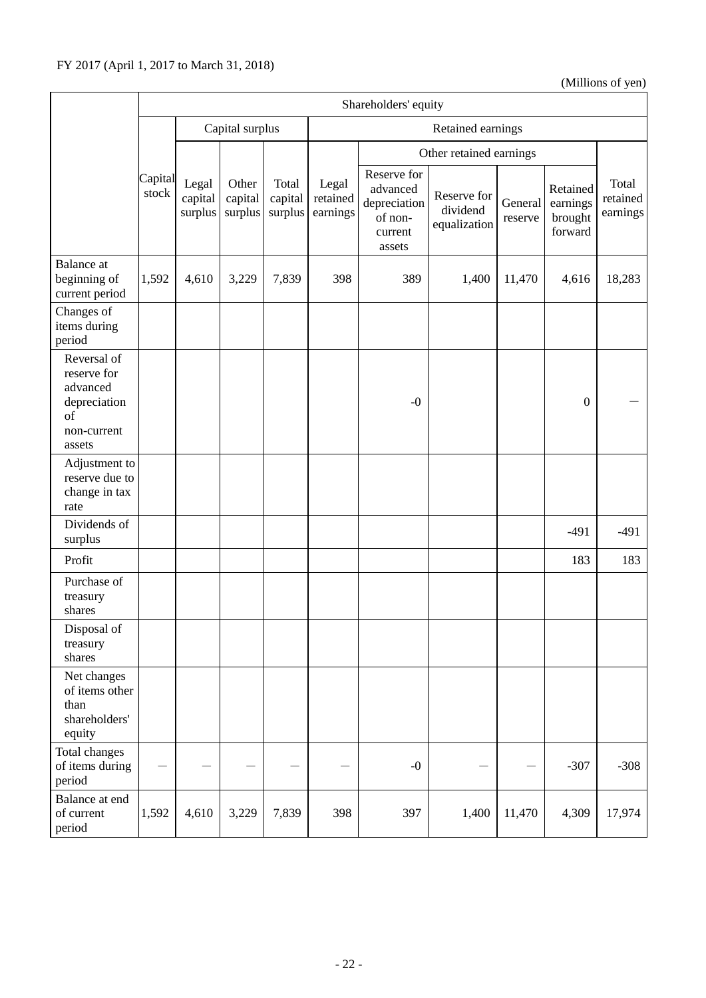|                                                                                       | Shareholders' equity |                             |                             |                             |                               |                                                                         |                                         |                    |                                            |                               |  |
|---------------------------------------------------------------------------------------|----------------------|-----------------------------|-----------------------------|-----------------------------|-------------------------------|-------------------------------------------------------------------------|-----------------------------------------|--------------------|--------------------------------------------|-------------------------------|--|
|                                                                                       |                      |                             | Capital surplus             |                             |                               | Retained earnings                                                       |                                         |                    |                                            |                               |  |
|                                                                                       |                      |                             |                             |                             |                               | Other retained earnings                                                 |                                         |                    |                                            |                               |  |
|                                                                                       | Capital<br>stock     | Legal<br>capital<br>surplus | Other<br>capital<br>surplus | Total<br>capital<br>surplus | Legal<br>retained<br>earnings | Reserve for<br>advanced<br>depreciation<br>of non-<br>current<br>assets | Reserve for<br>dividend<br>equalization | General<br>reserve | Retained<br>earnings<br>brought<br>forward | Total<br>retained<br>earnings |  |
| <b>Balance</b> at<br>beginning of<br>current period                                   | 1,592                | 4,610                       | 3,229                       | 7,839                       | 398                           | 389                                                                     | 1,400                                   | 11,470             | 4,616                                      | 18,283                        |  |
| Changes of<br>items during<br>period                                                  |                      |                             |                             |                             |                               |                                                                         |                                         |                    |                                            |                               |  |
| Reversal of<br>reserve for<br>advanced<br>depreciation<br>of<br>non-current<br>assets |                      |                             |                             |                             |                               | $-0$                                                                    |                                         |                    | $\boldsymbol{0}$                           |                               |  |
| Adjustment to<br>reserve due to<br>change in tax<br>rate                              |                      |                             |                             |                             |                               |                                                                         |                                         |                    |                                            |                               |  |
| Dividends of<br>surplus                                                               |                      |                             |                             |                             |                               |                                                                         |                                         |                    | $-491$                                     | $-491$                        |  |
| Profit                                                                                |                      |                             |                             |                             |                               |                                                                         |                                         |                    | 183                                        | 183                           |  |
| Purchase of<br>treasury<br>shares                                                     |                      |                             |                             |                             |                               |                                                                         |                                         |                    |                                            |                               |  |
| Disposal of<br>treasury<br>shares                                                     |                      |                             |                             |                             |                               |                                                                         |                                         |                    |                                            |                               |  |
| Net changes<br>of items other<br>than<br>shareholders'<br>equity                      |                      |                             |                             |                             |                               |                                                                         |                                         |                    |                                            |                               |  |
| Total changes<br>of items during<br>period                                            |                      |                             |                             | -                           |                               | $-0$                                                                    |                                         |                    | $-307$                                     | $-308$                        |  |
| Balance at end<br>of current<br>period                                                | 1,592                | 4,610                       | 3,229                       | 7,839                       | 398                           | 397                                                                     | 1,400                                   | 11,470             | 4,309                                      | 17,974                        |  |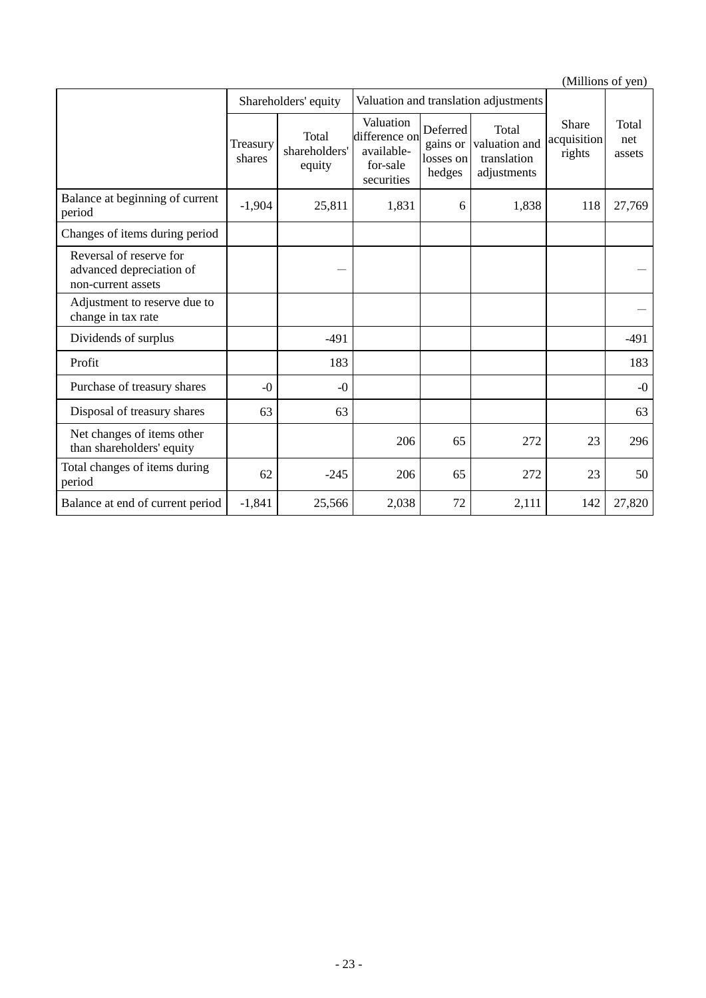|                                                                           |                    | Shareholders' equity             | Valuation and translation adjustments                              |                                             |                                                      |                                |                        |
|---------------------------------------------------------------------------|--------------------|----------------------------------|--------------------------------------------------------------------|---------------------------------------------|------------------------------------------------------|--------------------------------|------------------------|
|                                                                           | Treasury<br>shares | Total<br>shareholders'<br>equity | Valuation<br>difference on<br>available-<br>for-sale<br>securities | Deferred<br>gains or<br>losses on<br>hedges | Total<br>valuation and<br>translation<br>adjustments | Share<br>acquisition<br>rights | Total<br>net<br>assets |
| Balance at beginning of current<br>period                                 | $-1,904$           | 25,811                           | 1,831                                                              | 6                                           | 1,838                                                | 118                            | 27,769                 |
| Changes of items during period                                            |                    |                                  |                                                                    |                                             |                                                      |                                |                        |
| Reversal of reserve for<br>advanced depreciation of<br>non-current assets |                    |                                  |                                                                    |                                             |                                                      |                                |                        |
| Adjustment to reserve due to<br>change in tax rate                        |                    |                                  |                                                                    |                                             |                                                      |                                |                        |
| Dividends of surplus                                                      |                    | $-491$                           |                                                                    |                                             |                                                      |                                | $-491$                 |
| Profit                                                                    |                    | 183                              |                                                                    |                                             |                                                      |                                | 183                    |
| Purchase of treasury shares                                               | $-0$               | $-0$                             |                                                                    |                                             |                                                      |                                | $-0$                   |
| Disposal of treasury shares                                               | 63                 | 63                               |                                                                    |                                             |                                                      |                                | 63                     |
| Net changes of items other<br>than shareholders' equity                   |                    |                                  | 206                                                                | 65                                          | 272                                                  | 23                             | 296                    |
| Total changes of items during<br>period                                   | 62                 | $-245$                           | 206                                                                | 65                                          | 272                                                  | 23                             | 50                     |
| Balance at end of current period                                          | $-1,841$           | 25,566                           | 2,038                                                              | 72                                          | 2,111                                                | 142                            | 27,820                 |